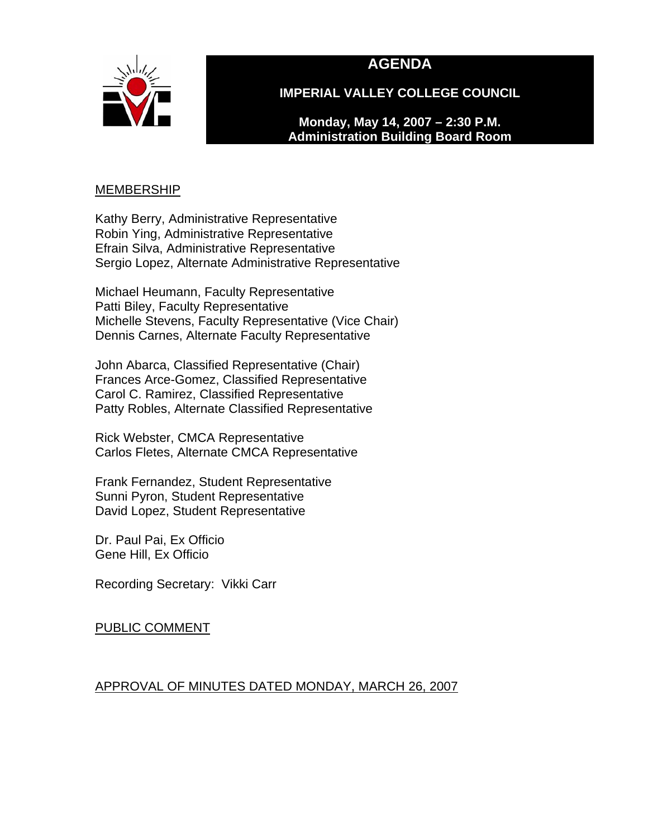



**IMPERIAL VALLEY COLLEGE COUNCIL** 

**Monday, May 14, 2007 – 2:30 P.M. Administration Building Board Room** 

# <u>MEMBERSHIP</u>

Kathy Berry, Administrative Representative Robin Ying, Administrative Representative Efrain Silva, Administrative Representative Sergio Lopez, Alternate Administrative Representative

Michael Heumann, Faculty Representative Patti Biley, Faculty Representative Michelle Stevens, Faculty Representative (Vice Chair) Dennis Carnes, Alternate Faculty Representative

John Abarca, Classified Representative (Chair) Frances Arce-Gomez, Classified Representative Carol C. Ramirez, Classified Representative Patty Robles, Alternate Classified Representative

Rick Webster, CMCA Representative Carlos Fletes, Alternate CMCA Representative

Frank Fernandez, Student Representative Sunni Pyron, Student Representative David Lopez, Student Representative

Dr. Paul Pai, Ex Officio Gene Hill, Ex Officio

Recording Secretary: Vikki Carr

PUBLIC COMMENT

# APPROVAL OF MINUTES DATED MONDAY, MARCH 26, 2007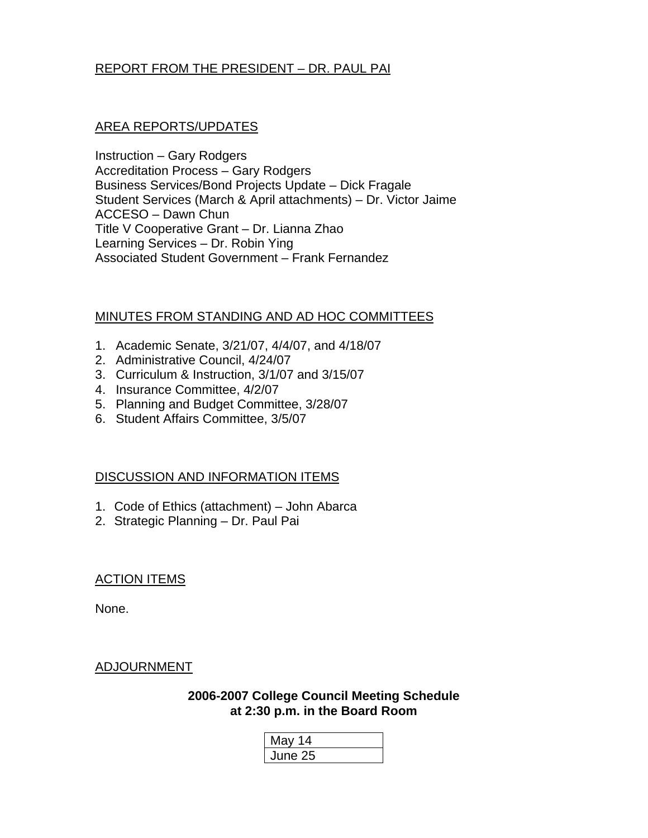# REPORT FROM THE PRESIDENT – DR. PAUL PAI

# AREA REPORTS/UPDATES

Instruction – Gary Rodgers Accreditation Process – Gary Rodgers Business Services/Bond Projects Update – Dick Fragale Student Services (March & April attachments) – Dr. Victor Jaime ACCESO – Dawn Chun Title V Cooperative Grant – Dr. Lianna Zhao Learning Services – Dr. Robin Ying Associated Student Government – Frank Fernandez

# MINUTES FROM STANDING AND AD HOC COMMITTEES

- 1. Academic Senate, 3/21/07, 4/4/07, and 4/18/07
- 2. Administrative Council, 4/24/07
- 3. Curriculum & Instruction, 3/1/07 and 3/15/07
- 4. Insurance Committee, 4/2/07
- 5. Planning and Budget Committee, 3/28/07
- 6. Student Affairs Committee, 3/5/07

# DISCUSSION AND INFORMATION ITEMS

- 1. Code of Ethics (attachment) John Abarca
- 2. Strategic Planning Dr. Paul Pai

# ACTION ITEMS

None.

# ADJOURNMENT

**2006-2007 College Council Meeting Schedule at 2:30 p.m. in the Board Room** 

| May 14  |  |
|---------|--|
| June 25 |  |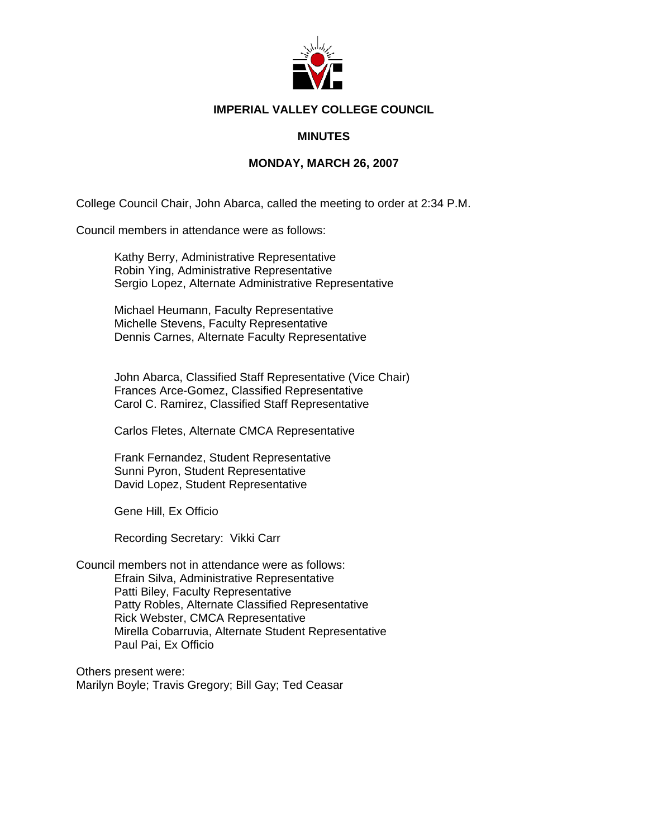

# **IMPERIAL VALLEY COLLEGE COUNCIL**

# **MINUTES**

# **MONDAY, MARCH 26, 2007**

College Council Chair, John Abarca, called the meeting to order at 2:34 P.M.

Council members in attendance were as follows:

Kathy Berry, Administrative Representative Robin Ying, Administrative Representative Sergio Lopez, Alternate Administrative Representative

Michael Heumann, Faculty Representative Michelle Stevens, Faculty Representative Dennis Carnes, Alternate Faculty Representative

John Abarca, Classified Staff Representative (Vice Chair) Frances Arce-Gomez, Classified Representative Carol C. Ramirez, Classified Staff Representative

Carlos Fletes, Alternate CMCA Representative

Frank Fernandez, Student Representative Sunni Pyron, Student Representative David Lopez, Student Representative

Gene Hill, Ex Officio

Recording Secretary: Vikki Carr

Council members not in attendance were as follows: Efrain Silva, Administrative Representative Patti Biley, Faculty Representative Patty Robles, Alternate Classified Representative Rick Webster, CMCA Representative Mirella Cobarruvia, Alternate Student Representative Paul Pai, Ex Officio

Others present were: Marilyn Boyle; Travis Gregory; Bill Gay; Ted Ceasar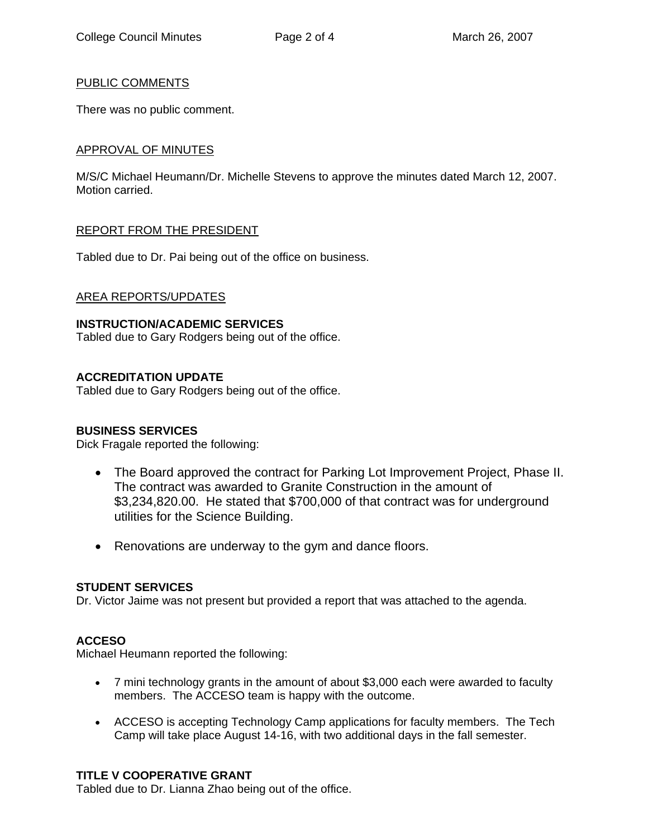# PUBLIC COMMENTS

There was no public comment.

# APPROVAL OF MINUTES

M/S/C Michael Heumann/Dr. Michelle Stevens to approve the minutes dated March 12, 2007. Motion carried.

# REPORT FROM THE PRESIDENT

Tabled due to Dr. Pai being out of the office on business.

# AREA REPORTS/UPDATES

# **INSTRUCTION/ACADEMIC SERVICES**

Tabled due to Gary Rodgers being out of the office.

# **ACCREDITATION UPDATE**

Tabled due to Gary Rodgers being out of the office.

# **BUSINESS SERVICES**

Dick Fragale reported the following:

- The Board approved the contract for Parking Lot Improvement Project, Phase II. The contract was awarded to Granite Construction in the amount of \$3,234,820.00. He stated that \$700,000 of that contract was for underground utilities for the Science Building.
- Renovations are underway to the gym and dance floors.

# **STUDENT SERVICES**

Dr. Victor Jaime was not present but provided a report that was attached to the agenda.

# **ACCESO**

Michael Heumann reported the following:

- 7 mini technology grants in the amount of about \$3,000 each were awarded to faculty members. The ACCESO team is happy with the outcome.
- ACCESO is accepting Technology Camp applications for faculty members. The Tech Camp will take place August 14-16, with two additional days in the fall semester.

# **TITLE V COOPERATIVE GRANT**

Tabled due to Dr. Lianna Zhao being out of the office.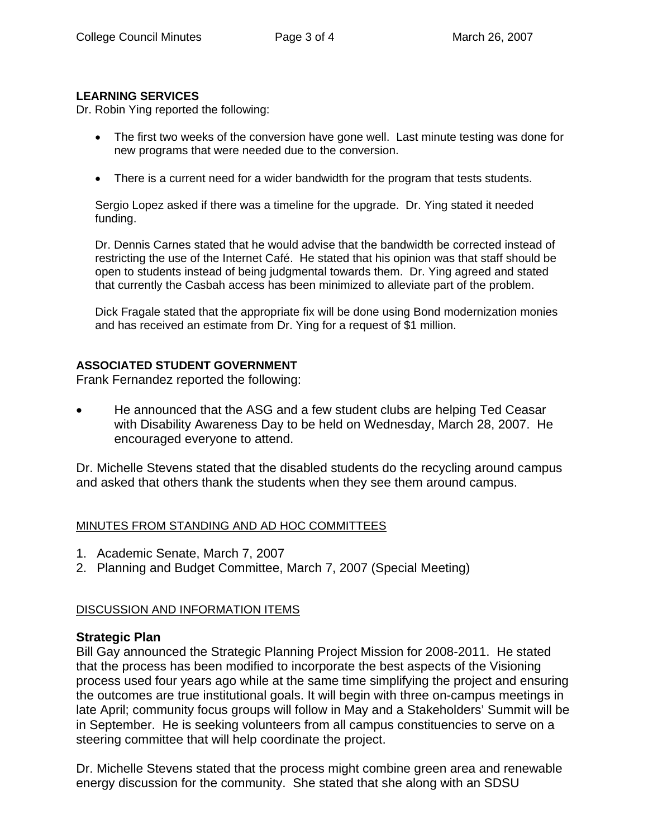# **LEARNING SERVICES**

Dr. Robin Ying reported the following:

- The first two weeks of the conversion have gone well. Last minute testing was done for new programs that were needed due to the conversion.
- There is a current need for a wider bandwidth for the program that tests students.

Sergio Lopez asked if there was a timeline for the upgrade. Dr. Ying stated it needed funding.

Dr. Dennis Carnes stated that he would advise that the bandwidth be corrected instead of restricting the use of the Internet Café. He stated that his opinion was that staff should be open to students instead of being judgmental towards them. Dr. Ying agreed and stated that currently the Casbah access has been minimized to alleviate part of the problem.

Dick Fragale stated that the appropriate fix will be done using Bond modernization monies and has received an estimate from Dr. Ying for a request of \$1 million.

# **ASSOCIATED STUDENT GOVERNMENT**

Frank Fernandez reported the following:

• He announced that the ASG and a few student clubs are helping Ted Ceasar with Disability Awareness Day to be held on Wednesday, March 28, 2007. He encouraged everyone to attend.

Dr. Michelle Stevens stated that the disabled students do the recycling around campus and asked that others thank the students when they see them around campus.

# MINUTES FROM STANDING AND AD HOC COMMITTEES

- 1. Academic Senate, March 7, 2007
- 2. Planning and Budget Committee, March 7, 2007 (Special Meeting)

# DISCUSSION AND INFORMATION ITEMS

# **Strategic Plan**

Bill Gay announced the Strategic Planning Project Mission for 2008-2011. He stated that the process has been modified to incorporate the best aspects of the Visioning process used four years ago while at the same time simplifying the project and ensuring the outcomes are true institutional goals. It will begin with three on-campus meetings in late April; community focus groups will follow in May and a Stakeholders' Summit will be in September. He is seeking volunteers from all campus constituencies to serve on a steering committee that will help coordinate the project.

Dr. Michelle Stevens stated that the process might combine green area and renewable energy discussion for the community. She stated that she along with an SDSU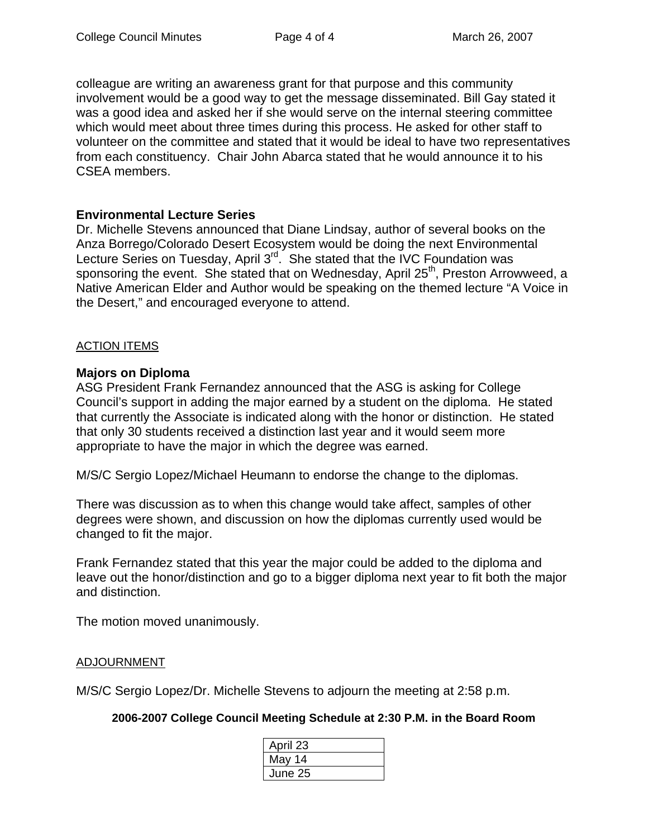colleague are writing an awareness grant for that purpose and this community involvement would be a good way to get the message disseminated. Bill Gay stated it was a good idea and asked her if she would serve on the internal steering committee which would meet about three times during this process. He asked for other staff to volunteer on the committee and stated that it would be ideal to have two representatives from each constituency. Chair John Abarca stated that he would announce it to his CSEA members.

# **Environmental Lecture Series**

Dr. Michelle Stevens announced that Diane Lindsay, author of several books on the Anza Borrego/Colorado Desert Ecosystem would be doing the next Environmental Lecture Series on Tuesday, April 3<sup>rd</sup>. She stated that the IVC Foundation was sponsoring the event. She stated that on Wednesday, April 25<sup>th</sup>, Preston Arrowweed, a Native American Elder and Author would be speaking on the themed lecture "A Voice in the Desert," and encouraged everyone to attend.

# ACTION ITEMS

# **Majors on Diploma**

ASG President Frank Fernandez announced that the ASG is asking for College Council's support in adding the major earned by a student on the diploma. He stated that currently the Associate is indicated along with the honor or distinction. He stated that only 30 students received a distinction last year and it would seem more appropriate to have the major in which the degree was earned.

M/S/C Sergio Lopez/Michael Heumann to endorse the change to the diplomas.

There was discussion as to when this change would take affect, samples of other degrees were shown, and discussion on how the diplomas currently used would be changed to fit the major.

Frank Fernandez stated that this year the major could be added to the diploma and leave out the honor/distinction and go to a bigger diploma next year to fit both the major and distinction.

The motion moved unanimously.

# ADJOURNMENT

M/S/C Sergio Lopez/Dr. Michelle Stevens to adjourn the meeting at 2:58 p.m.

**2006-2007 College Council Meeting Schedule at 2:30 P.M. in the Board Room** 

| April 23 |  |
|----------|--|
| May 14   |  |
| June 25  |  |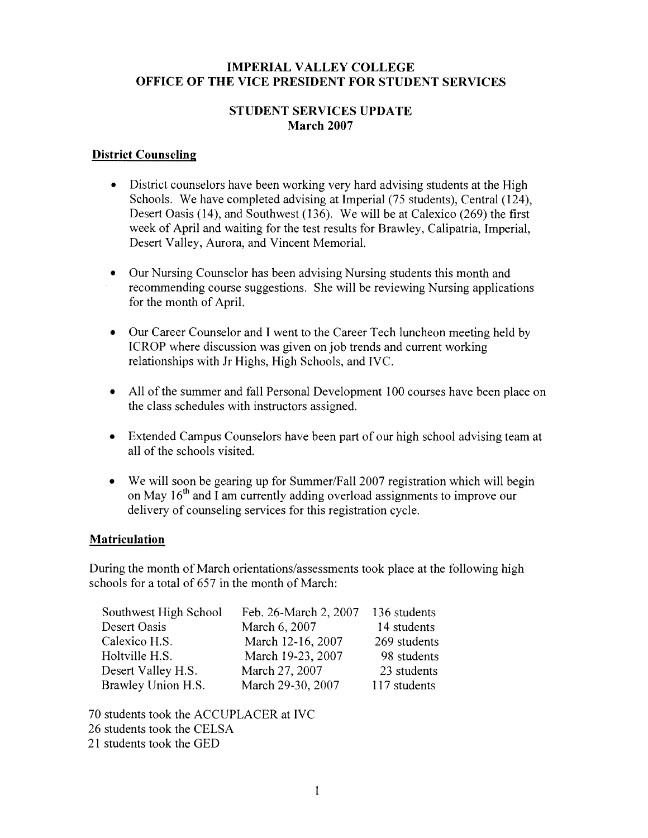# **IMPERIAL VALLEY COLLEGE OFFICE OF THE VICE PRESIDENT FOR STUDENT SERVICES**

# **STUDENT SERVICES UPDATE March 2007**

# **District Counseling**

- District counselors have been working very hard advising students at the High Schools. We have completed advising at Imperial (75 students), Central (124). Desert Oasis (14), and Southwest (136). We will be at Calexico (269) the first week of April and waiting for the test results for Brawley, Calipatria, Imperial, Desert Valley, Aurora, and Vincent Memorial.
- Our Nursing Counselor has been advising Nursing students this month and recommending course suggestions. She will be reviewing Nursing applications for the month of April.
- Our Career Counselor and I went to the Career Tech luncheon meeting held by  $\bullet$ ICROP where discussion was given on job trends and current working relationships with Jr Highs, High Schools, and IVC.
- All of the summer and fall Personal Development 100 courses have been place on  $\bullet$ the class schedules with instructors assigned.
- Extended Campus Counselors have been part of our high school advising team at all of the schools visited.
- We will soon be gearing up for Summer/Fall 2007 registration which will begin on May 16<sup>th</sup> and I am currently adding overload assignments to improve our delivery of counseling services for this registration cycle.

# **Matriculation**

During the month of March orientations/assessments took place at the following high schools for a total of 657 in the month of March:

| Southwest High School | Feb. 26-March 2, 2007 | 136 students |
|-----------------------|-----------------------|--------------|
| Desert Oasis          | March 6, 2007         | 14 students  |
| Calexico H.S.         | March 12-16, 2007     | 269 students |
| Holtville H.S.        | March 19-23, 2007     | 98 students  |
| Desert Valley H.S.    | March 27, 2007        | 23 students  |
| Brawley Union H.S.    | March 29-30, 2007     | 117 students |

70 students took the ACCUPLACER at IVC 26 students took the CELSA 21 students took the GED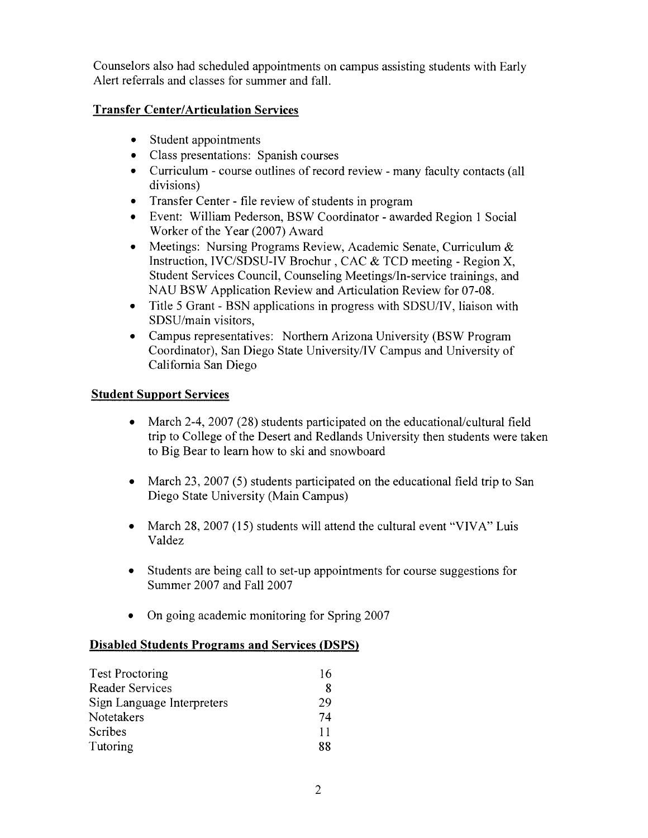Counselors also had scheduled appointments on campus assisting students with Early Alert referrals and classes for summer and fall.

# **Transfer Center/Articulation Services**

- Student appointments
- Class presentations: Spanish courses
- Curriculum course outlines of record review many faculty contacts (all divisions)
- Transfer Center file review of students in program
- Event: William Pederson, BSW Coordinator awarded Region 1 Social Worker of the Year (2007) Award
- Meetings: Nursing Programs Review, Academic Senate, Curriculum & Instruction, IVC/SDSU-IV Brochur, CAC & TCD meeting - Region X, Student Services Council, Counseling Meetings/In-service trainings, and NAU BSW Application Review and Articulation Review for 07-08.
- Title 5 Grant BSN applications in progress with SDSU/IV, liaison with SDSU/main visitors,
- Campus representatives: Northern Arizona University (BSW Program Coordinator), San Diego State University/IV Campus and University of California San Diego

# **Student Support Services**

- March 2-4, 2007 (28) students participated on the educational/cultural field  $\bullet$ trip to College of the Desert and Redlands University then students were taken to Big Bear to learn how to ski and snowboard
- March 23, 2007 (5) students participated on the educational field trip to San Diego State University (Main Campus)
- March 28, 2007 (15) students will attend the cultural event "VIVA" Luis Valdez
- Students are being call to set-up appointments for course suggestions for Summer 2007 and Fall 2007
- On going academic monitoring for Spring  $2007$

# **Disabled Students Programs and Services (DSPS)**

| <b>Test Proctoring</b>     | 16 |
|----------------------------|----|
| <b>Reader Services</b>     | 8  |
| Sign Language Interpreters | 29 |
| Notetakers                 | 74 |
| Scribes                    | 11 |
| Tutoring                   | 88 |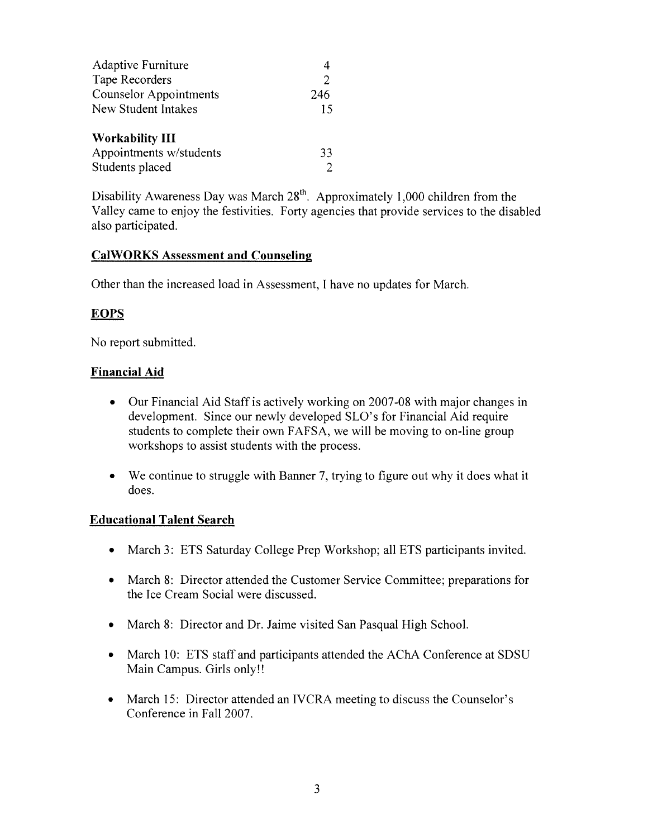| <b>Adaptive Furniture</b>     |     |
|-------------------------------|-----|
| Tape Recorders                | 2   |
| <b>Counselor Appointments</b> | 246 |
| <b>New Student Intakes</b>    | 15  |
| <b>Workability III</b>        |     |
| Appointments w/students       | 33  |
| Students placed               |     |

Disability Awareness Day was March 28<sup>th</sup>. Approximately 1,000 children from the Valley came to enjoy the festivities. Forty agencies that provide services to the disabled also participated.

# **CalWORKS Assessment and Counseling**

Other than the increased load in Assessment, I have no updates for March.

# **EOPS**

No report submitted.

# **Financial Aid**

- Our Financial Aid Staff is actively working on 2007-08 with major changes in  $\bullet$ development. Since our newly developed SLO's for Financial Aid require students to complete their own FAFSA, we will be moving to on-line group workshops to assist students with the process.
- We continue to struggle with Banner 7, trying to figure out why it does what it  $\bullet$ does.

# **Educational Talent Search**

- March 3: ETS Saturday College Prep Workshop; all ETS participants invited.
- March 8: Director attended the Customer Service Committee; preparations for the Ice Cream Social were discussed.
- March 8: Director and Dr. Jaime visited San Pasqual High School.
- March 10: ETS staff and participants attended the AChA Conference at SDSU Main Campus. Girls only!!
- March 15: Director attended an IVCRA meeting to discuss the Counselor's Conference in Fall 2007.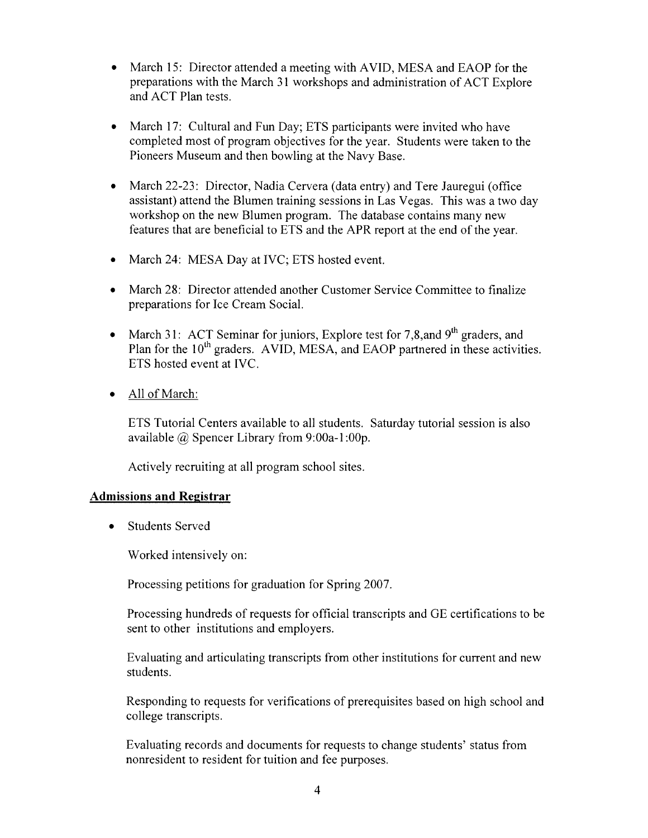- March 15: Director attended a meeting with AVID, MESA and EAOP for the preparations with the March 31 workshops and administration of ACT Explore and ACT Plan tests.
- March 17: Cultural and Fun Day; ETS participants were invited who have completed most of program objectives for the year. Students were taken to the Pioneers Museum and then bowling at the Navy Base.
- March 22-23: Director, Nadia Cervera (data entry) and Tere Jauregui (office  $\bullet$ assistant) attend the Blumen training sessions in Las Vegas. This was a two day workshop on the new Blumen program. The database contains many new features that are beneficial to ETS and the APR report at the end of the year.
- March 24: MESA Day at IVC; ETS hosted event.  $\bullet$
- March 28: Director attended another Customer Service Committee to finalize preparations for Ice Cream Social.
- March 31: ACT Seminar for juniors, Explore test for 7,8, and 9<sup>th</sup> graders, and  $\bullet$ Plan for the 10<sup>th</sup> graders. AVID, MESA, and EAOP partnered in these activities. ETS hosted event at IVC.
- All of March:  $\bullet$

ETS Tutorial Centers available to all students. Saturday tutorial session is also available  $\omega$  Spencer Library from 9:00a-1:00p.

Actively recruiting at all program school sites.

# **Admissions and Registrar**

**Students Served**  $\bullet$ 

Worked intensively on:

Processing petitions for graduation for Spring 2007.

Processing hundreds of requests for official transcripts and GE certifications to be sent to other institutions and employers.

Evaluating and articulating transcripts from other institutions for current and new students.

Responding to requests for verifications of prerequisites based on high school and college transcripts.

Evaluating records and documents for requests to change students' status from nonresident to resident for tuition and fee purposes.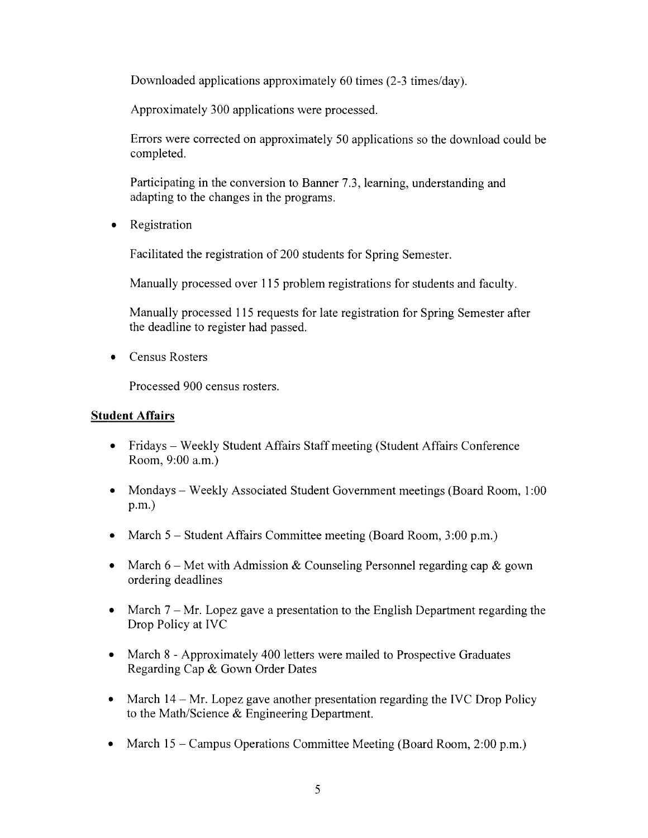Downloaded applications approximately 60 times (2-3 times/day).

Approximately 300 applications were processed.

Errors were corrected on approximately 50 applications so the download could be completed.

Participating in the conversion to Banner 7.3, learning, understanding and adapting to the changes in the programs.

Registration  $\bullet$ 

Facilitated the registration of 200 students for Spring Semester.

Manually processed over 115 problem registrations for students and faculty.

Manually processed 115 requests for late registration for Spring Semester after the deadline to register had passed.

• Census Rosters

Processed 900 census rosters.

# **Student Affairs**

- Fridays Weekly Student Affairs Staff meeting (Student Affairs Conference  $\bullet$ Room, 9:00 a.m.)
- Mondays Weekly Associated Student Government meetings (Board Room, 1:00  $\bullet$  $p.m.$
- March  $5 -$  Student Affairs Committee meeting (Board Room, 3:00 p.m.)
- March  $6$  Met with Admission & Counseling Personnel regarding cap & gown ordering deadlines
- March  $7 Mr$ . Lopez gave a presentation to the English Department regarding the Drop Policy at IVC
- March 8 Approximately 400 letters were mailed to Prospective Graduates Regarding Cap & Gown Order Dates
- March  $14 Mr$ . Lopez gave another presentation regarding the IVC Drop Policy  $\bullet$ to the Math/Science & Engineering Department.
- March  $15$  Campus Operations Committee Meeting (Board Room, 2:00 p.m.)  $\bullet$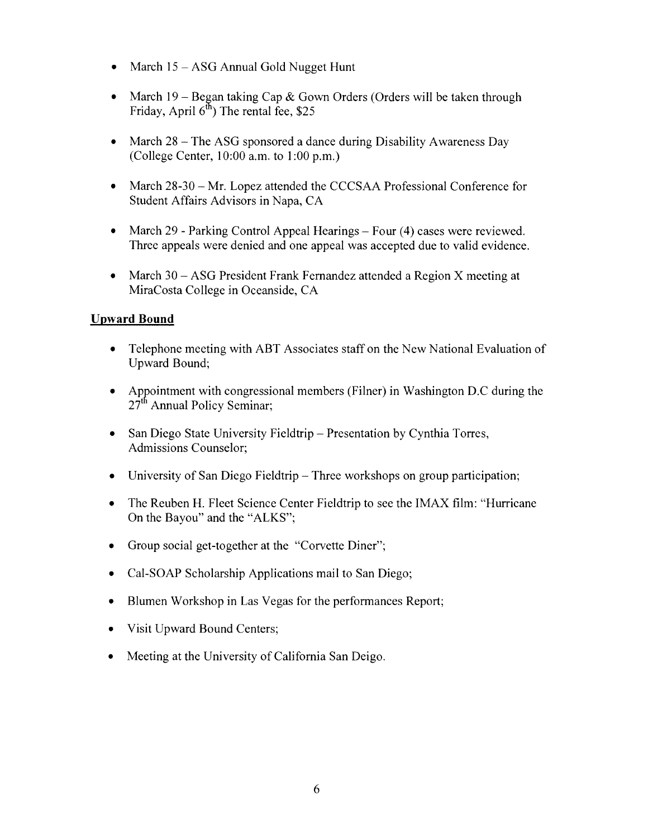- March  $15 ASG$  Annual Gold Nugget Hunt
- March 19 Began taking Cap & Gown Orders (Orders will be taken through  $\bullet$ Friday, April  $6^{\text{th}}$ ) The rental fee, \$25
- March 28 The ASG sponsored a dance during Disability Awareness Day (College Center, 10:00 a.m. to 1:00 p.m.)
- March 28-30 Mr. Lopez attended the CCCSAA Professional Conference for  $\bullet$ Student Affairs Advisors in Napa, CA
- $\bullet$ March 29 - Parking Control Appeal Hearings – Four (4) cases were reviewed. Three appeals were denied and one appeal was accepted due to valid evidence.
- March 30 ASG President Frank Fernandez attended a Region X meeting at  $\bullet$ MiraCosta College in Oceanside, CA

# **Upward Bound**

- $\bullet$ Telephone meeting with ABT Associates staff on the New National Evaluation of Upward Bound:
- Appointment with congressional members (Filner) in Washington D.C during the  $\bullet$ 27<sup>th</sup> Annual Policy Seminar:
- San Diego State University Fieldtrip Presentation by Cynthia Torres.  $\bullet$ Admissions Counselor;
- University of San Diego Fieldtrip Three workshops on group participation;  $\bullet$
- The Reuben H. Fleet Science Center Fieldtrip to see the IMAX film: "Hurricane"  $\bullet$ On the Bayou" and the "ALKS";
- Group social get-together at the "Corvette Diner";  $\bullet$
- Cal-SOAP Scholarship Applications mail to San Diego;
- Blumen Workshop in Las Vegas for the performances Report;  $\bullet$
- Visit Upward Bound Centers;
- Meeting at the University of California San Deigo.  $\bullet$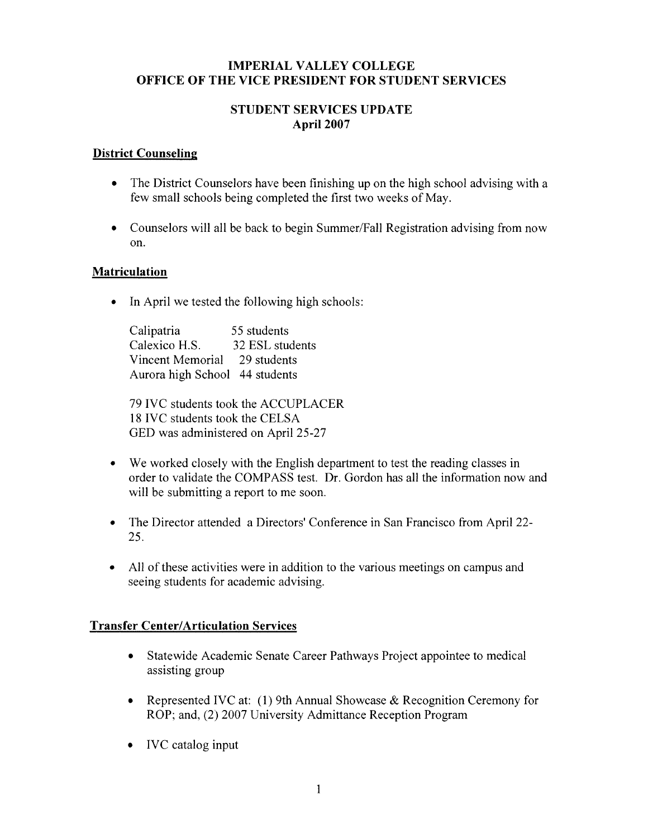# **IMPERIAL VALLEY COLLEGE OFFICE OF THE VICE PRESIDENT FOR STUDENT SERVICES**

# **STUDENT SERVICES UPDATE April 2007**

# **District Counseling**

- The District Counselors have been finishing up on the high school advising with a few small schools being completed the first two weeks of May.
- Counselors will all be back to begin Summer/Fall Registration advising from now  $\bullet$ on.

# **Matriculation**

 $\bullet$ In April we tested the following high schools:

Calipatria 55 students Calexico H.S. 32 ESL students Vincent Memorial 29 students Aurora high School 44 students

79 IVC students took the ACCUPLACER 18 IVC students took the CELSA GED was administered on April 25-27

- We worked closely with the English department to test the reading classes in  $\bullet$ order to validate the COMPASS test. Dr. Gordon has all the information now and will be submitting a report to me soon.
- The Director attended a Directors' Conference in San Francisco from April 22- $\bullet$ 25.
- All of these activities were in addition to the various meetings on campus and seeing students for academic advising.

# **Transfer Center/Articulation Services**

- Statewide Academic Senate Career Pathways Project appointee to medical assisting group
- Represented IVC at: (1) 9th Annual Showcase & Recognition Ceremony for  $\bullet$ ROP; and, (2) 2007 University Admittance Reception Program
- IVC catalog input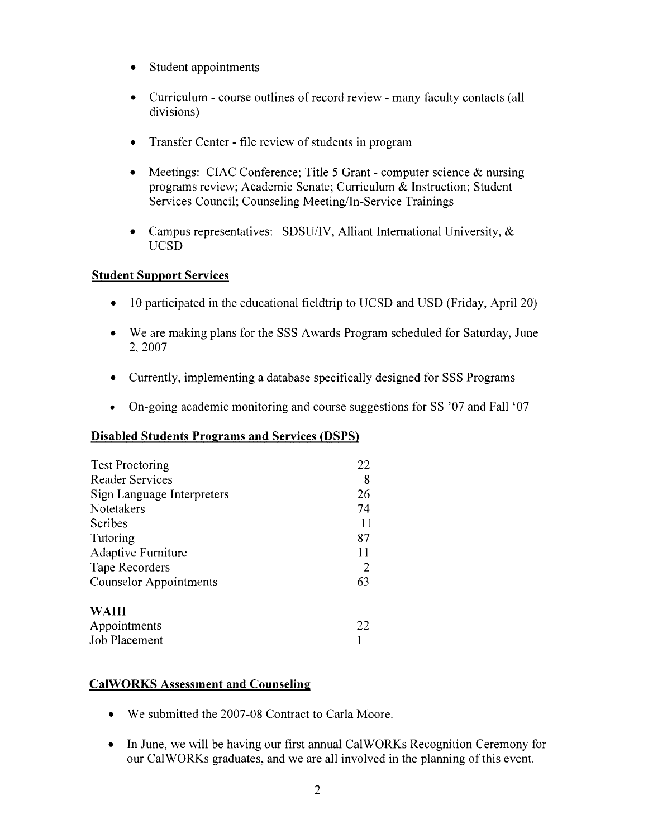- Student appointments
- Curriculum course outlines of record review many faculty contacts (all divisions)
- Transfer Center file review of students in program
- Meetings: CIAC Conference; Title 5 Grant computer science  $\&$  nursing programs review; Academic Senate; Curriculum & Instruction; Student Services Council; Counseling Meeting/In-Service Trainings
- Campus representatives: SDSU/IV, Alliant International University,  $\&$ **UCSD**

# **Student Support Services**

- 10 participated in the educational fieldtrip to UCSD and USD (Friday, April 20)  $\bullet$
- We are making plans for the SSS Awards Program scheduled for Saturday, June 2, 2007
- $\bullet$ Currently, implementing a database specifically designed for SSS Programs
- On-going academic monitoring and course suggestions for SS '07 and Fall '07  $\bullet$

# **Disabled Students Programs and Services (DSPS)**

| <b>Test Proctoring</b>        | 22 |
|-------------------------------|----|
| <b>Reader Services</b>        | 8  |
| Sign Language Interpreters    | 26 |
| Notetakers                    | 74 |
| Scribes                       | 11 |
| Tutoring                      | 87 |
| Adaptive Furniture            |    |
| Tape Recorders                | 2  |
| <b>Counselor Appointments</b> | 63 |
| <b>WAIII</b>                  |    |
| Appointments                  | 22 |
| Job Placement                 |    |

# **CalWORKS Assessment and Counseling**

- We submitted the 2007-08 Contract to Carla Moore.
- In June, we will be having our first annual CalWORKs Recognition Ceremony for  $\bullet$ our CalWORKs graduates, and we are all involved in the planning of this event.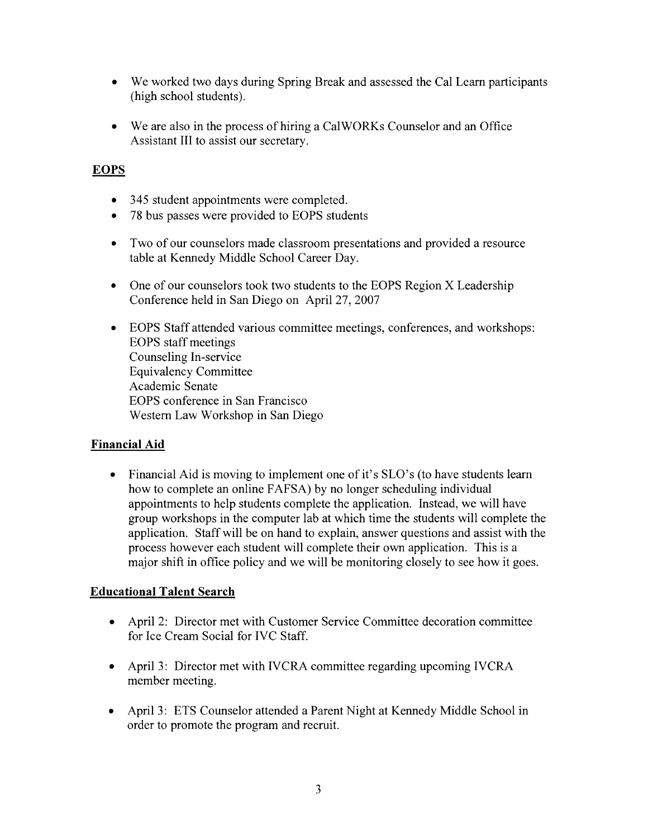- We worked two days during Spring Break and assessed the Cal Learn participants (high school students).
- We are also in the process of hiring a CalWORKs Counselor and an Office Assistant III to assist our secretary.

# **EOPS**

- 345 student appointments were completed.
- 78 bus passes were provided to EOPS students
- Two of our counselors made classroom presentations and provided a resource table at Kennedy Middle School Career Day.
- One of our counselors took two students to the EOPS Region X Leadership Conference held in San Diego on April 27, 2007
- EOPS Staff attended various committee meetings, conferences, and workshops: **EOPS** staff meetings Counseling In-service **Equivalency Committee** Academic Senate EOPS conference in San Francisco Western Law Workshop in San Diego

# **Financial Aid**

• Financial Aid is moving to implement one of it's SLO's (to have students learn how to complete an online FAFSA) by no longer scheduling individual appointments to help students complete the application. Instead, we will have group workshops in the computer lab at which time the students will complete the application. Staff will be on hand to explain, answer questions and assist with the process however each student will complete their own application. This is a major shift in office policy and we will be monitoring closely to see how it goes.

# **Educational Talent Search**

- April 2: Director met with Customer Service Committee decoration committee for Ice Cream Social for IVC Staff.
- April 3: Director met with IVCRA committee regarding upcoming IVCRA member meeting.
- April 3: ETS Counselor attended a Parent Night at Kennedy Middle School in  $\bullet$ order to promote the program and recruit.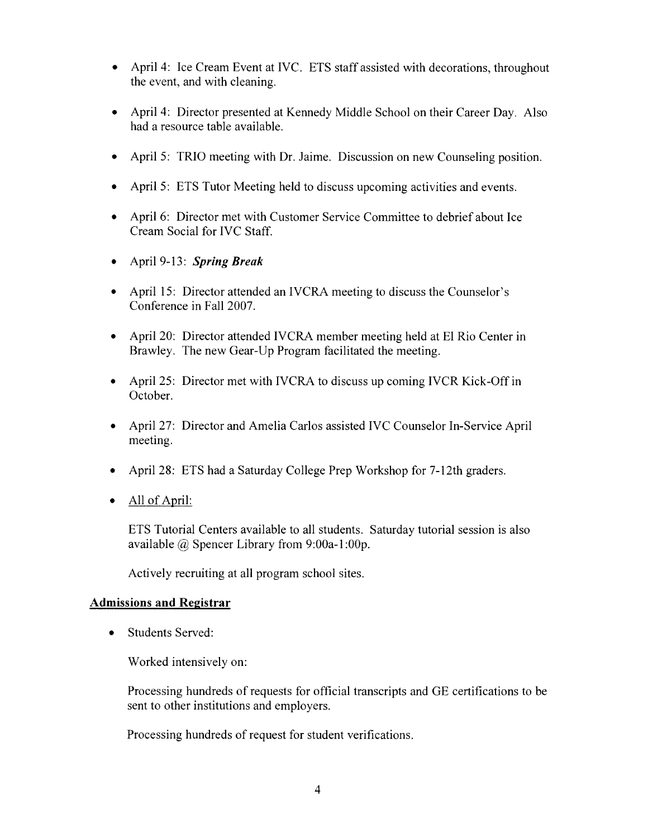- April 4: Ice Cream Event at IVC. ETS staff assisted with decorations, throughout the event, and with cleaning.
- April 4: Director presented at Kennedy Middle School on their Career Day. Also had a resource table available.
- April 5: TRIO meeting with Dr. Jaime. Discussion on new Counseling position.
- April 5: ETS Tutor Meeting held to discuss upcoming activities and events.
- April 6: Director met with Customer Service Committee to debrief about Ice Cream Social for IVC Staff.
- April 9-13: Spring Break
- April 15: Director attended an IVCRA meeting to discuss the Counselor's Conference in Fall 2007.
- April 20: Director attended IVCRA member meeting held at El Rio Center in Brawley. The new Gear-Up Program facilitated the meeting.
- April 25: Director met with IVCRA to discuss up coming IVCR Kick-Off in October.
- April 27: Director and Amelia Carlos assisted IVC Counselor In-Service April meeting.
- April 28: ETS had a Saturday College Prep Workshop for 7-12th graders.  $\bullet$
- $\bullet$  All of April:

ETS Tutorial Centers available to all students. Saturday tutorial session is also available  $\omega$  Spencer Library from 9:00a-1:00p.

Actively recruiting at all program school sites.

# **Admissions and Registrar**

**Students Served:**  $\bullet$ 

Worked intensively on:

Processing hundreds of requests for official transcripts and GE certifications to be sent to other institutions and employers.

Processing hundreds of request for student verifications.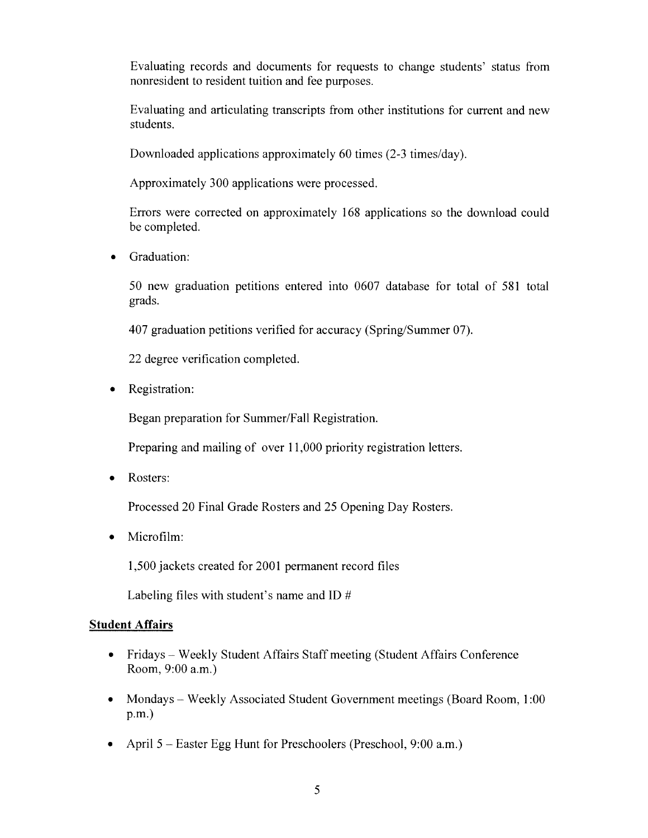Evaluating records and documents for requests to change students' status from nonresident to resident tuition and fee purposes.

Evaluating and articulating transcripts from other institutions for current and new students.

Downloaded applications approximately 60 times (2-3 times/day).

Approximately 300 applications were processed.

Errors were corrected on approximately 168 applications so the download could be completed.

Graduation:  $\bullet$ 

> 50 new graduation petitions entered into 0607 database for total of 581 total grads.

407 graduation petitions verified for accuracy (Spring/Summer 07).

22 degree verification completed.

 $\bullet$ Registration:

Began preparation for Summer/Fall Registration.

Preparing and mailing of over 11,000 priority registration letters.

Rosters:  $\bullet$ 

Processed 20 Final Grade Rosters and 25 Opening Day Rosters.

Microfilm:  $\bullet$ 

1,500 jackets created for 2001 permanent record files

Labeling files with student's name and ID  $#$ 

# **Student Affairs**

- Fridays Weekly Student Affairs Staff meeting (Student Affairs Conference Room, 9:00 a.m.)
- Mondays Weekly Associated Student Government meetings (Board Room, 1:00)  $\bullet$  $p.m.$ )
- $\bullet$ April  $5$  – Easter Egg Hunt for Preschoolers (Preschool, 9:00 a.m.)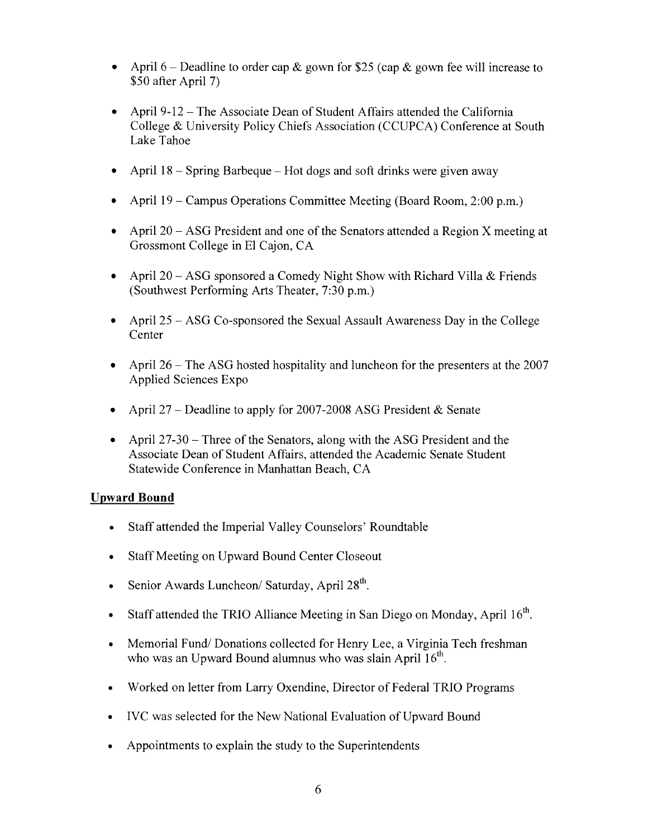- April 6 Deadline to order cap & gown for \$25 (cap & gown fee will increase to \$50 after April 7)
- April 9-12 The Associate Dean of Student Affairs attended the California College & University Policy Chiefs Association (CCUPCA) Conference at South Lake Tahoe
- April 18 Spring Barbeque Hot dogs and soft drinks were given away
- April 19 Campus Operations Committee Meeting (Board Room, 2:00 p.m.)
- April 20 ASG President and one of the Senators attended a Region X meeting at Grossmont College in El Cajon, CA
- April 20 ASG sponsored a Comedy Night Show with Richard Villa & Friends (Southwest Performing Arts Theater, 7:30 p.m.)
- April 25 ASG Co-sponsored the Sexual Assault Awareness Day in the College Center
- April 26 The ASG hosted hospitality and luncheon for the presenters at the 2007  $\bullet$ Applied Sciences Expo
- April 27 Deadline to apply for 2007-2008 ASG President & Senate  $\bullet$
- April  $27-30$  Three of the Senators, along with the ASG President and the Associate Dean of Student Affairs, attended the Academic Senate Student Statewide Conference in Manhattan Beach, CA

# **Upward Bound**

- Staff attended the Imperial Valley Counselors' Roundtable  $\bullet$
- Staff Meeting on Upward Bound Center Closeout  $\bullet$
- Senior Awards Luncheon/ Saturday, April 28<sup>th</sup>.  $\bullet$
- Staff attended the TRIO Alliance Meeting in San Diego on Monday, April 16<sup>th</sup>.  $\bullet$
- Memorial Fund/Donations collected for Henry Lee, a Virginia Tech freshman  $\bullet$ who was an Upward Bound alumnus who was slain April 16<sup>th</sup>.
- Worked on letter from Larry Oxendine, Director of Federal TRIO Programs  $\bullet$
- IVC was selected for the New National Evaluation of Upward Bound  $\bullet$
- Appointments to explain the study to the Superintendents  $\bullet$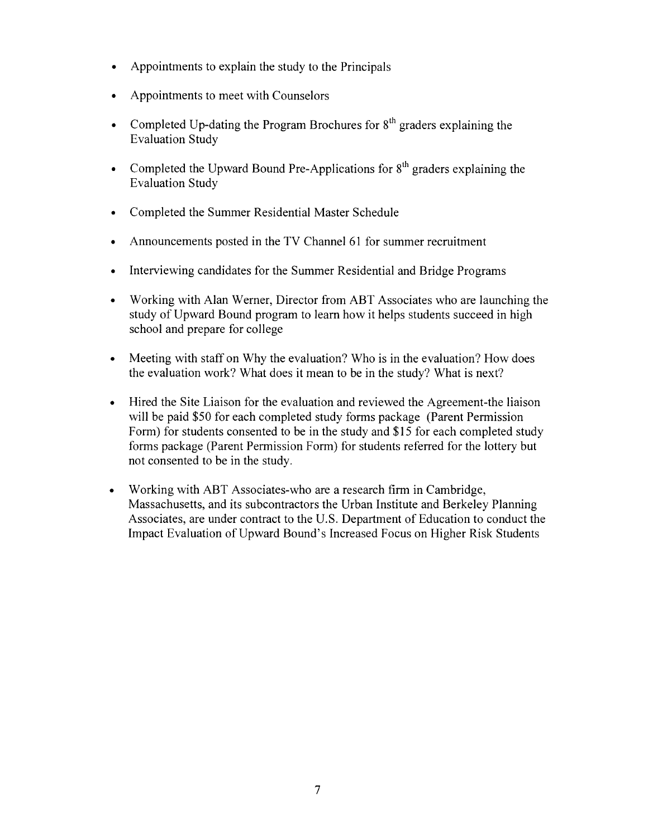- Appointments to explain the study to the Principals
- Appointments to meet with Counselors
- Completed Up-dating the Program Brochures for  $8<sup>th</sup>$  graders explaining the **Evaluation Study**
- Completed the Upward Bound Pre-Applications for  $8<sup>th</sup>$  graders explaining the **Evaluation Study**
- Completed the Summer Residential Master Schedule
- Announcements posted in the TV Channel 61 for summer recruitment
- Interviewing candidates for the Summer Residential and Bridge Programs
- Working with Alan Werner, Director from ABT Associates who are launching the study of Upward Bound program to learn how it helps students succeed in high school and prepare for college
- Meeting with staff on Why the evaluation? Who is in the evaluation? How does  $\bullet$ the evaluation work? What does it mean to be in the study? What is next?
- Hired the Site Liaison for the evaluation and reviewed the Agreement-the liaison  $\bullet$ will be paid \$50 for each completed study forms package (Parent Permission Form) for students consented to be in the study and \$15 for each completed study forms package (Parent Permission Form) for students referred for the lottery but not consented to be in the study.
- Working with ABT Associates-who are a research firm in Cambridge,  $\bullet$ Massachusetts, and its subcontractors the Urban Institute and Berkeley Planning Associates, are under contract to the U.S. Department of Education to conduct the Impact Evaluation of Upward Bound's Increased Focus on Higher Risk Students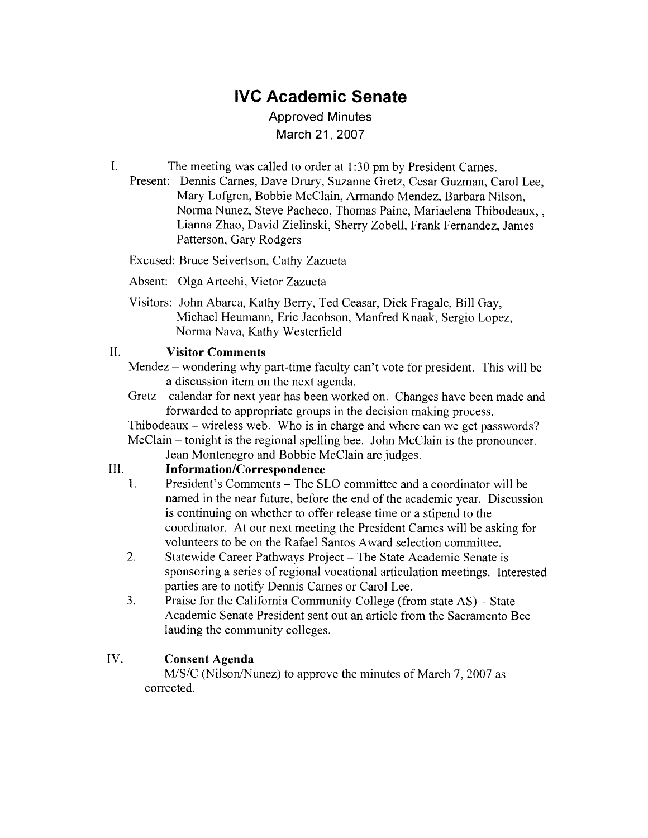# **IVC Academic Senate**

# **Approved Minutes** March 21, 2007

 $\mathbf{I}$ . The meeting was called to order at 1:30 pm by President Carnes.

Present: Dennis Carnes, Dave Drury, Suzanne Gretz, Cesar Guzman, Carol Lee. Mary Lofgren, Bobbie McClain, Armando Mendez, Barbara Nilson, Norma Nunez, Steve Pacheco, Thomas Paine, Mariaelena Thibodeaux,, Lianna Zhao, David Zielinski, Sherry Zobell, Frank Fernandez, James Patterson, Gary Rodgers

Excused: Bruce Seivertson, Cathy Zazueta

- Absent: Olga Artechi, Victor Zazueta
- Visitors: John Abarca, Kathy Berry, Ted Ceasar, Dick Fragale, Bill Gay, Michael Heumann, Eric Jacobson, Manfred Knaak, Sergio Lopez, Norma Nava, Kathy Westerfield

#### $II.$ **Visitor Comments**

Mendez – wondering why part-time faculty can't vote for president. This will be a discussion item on the next agenda.

Gretz – calendar for next year has been worked on. Changes have been made and forwarded to appropriate groups in the decision making process.

Thibodeaux – wireless web. Who is in charge and where can we get passwords? McClain – tonight is the regional spelling bee. John McClain is the pronouncer.

Jean Montenegro and Bobbie McClain are judges.

#### $III.$ **Information/Correspondence**

- President's Comments The SLO committee and a coordinator will be  $1.$ named in the near future, before the end of the academic year. Discussion is continuing on whether to offer release time or a stipend to the coordinator. At our next meeting the President Carnes will be asking for volunteers to be on the Rafael Santos Award selection committee.
- $\overline{2}$ . Statewide Career Pathways Project – The State Academic Senate is sponsoring a series of regional vocational articulation meetings. Interested parties are to notify Dennis Carnes or Carol Lee.
- $3.$ Praise for the California Community College (from state AS) – State Academic Senate President sent out an article from the Sacramento Bee lauding the community colleges.

#### IV. **Consent Agenda**

M/S/C (Nilson/Nunez) to approve the minutes of March 7, 2007 as corrected.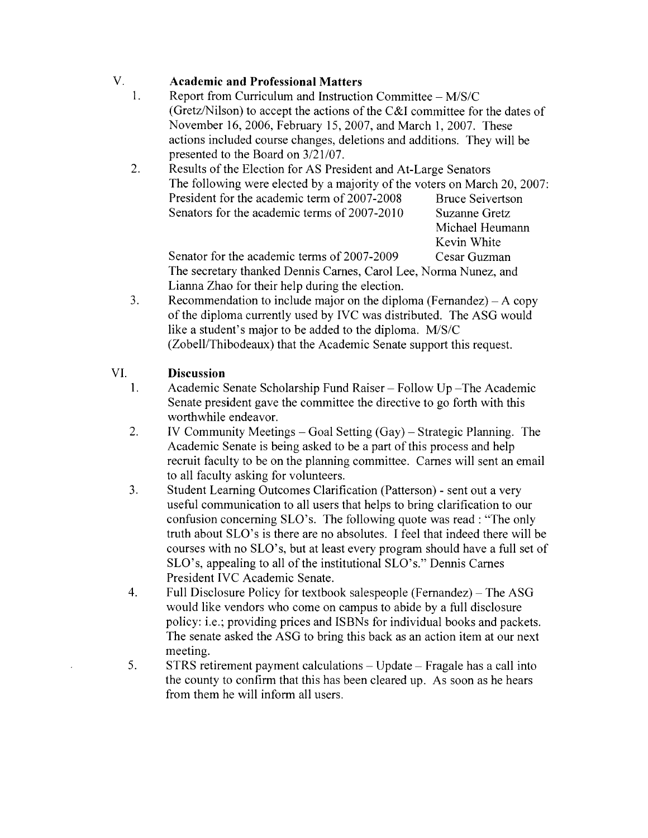#### V. **Academic and Professional Matters**

- $\mathbf{1}$ . Report from Curriculum and Instruction Committee - M/S/C (Gretz/Nilson) to accept the actions of the C&I committee for the dates of November 16, 2006, February 15, 2007, and March 1, 2007. These actions included course changes, deletions and additions. They will be presented to the Board on 3/21/07.
- $2.$ Results of the Election for AS President and At-Large Senators The following were elected by a majority of the voters on March 20, 2007: President for the academic term of 2007-2008 **Bruce Seivertson** Senators for the academic terms of 2007-2010 Suzanne Gretz

Michael Heumann Kevin White Cesar Guzman

Senator for the academic terms of 2007-2009 The secretary thanked Dennis Carnes, Carol Lee, Norma Nunez, and Lianna Zhao for their help during the election.

 $3<sub>1</sub>$ Recommendation to include major on the diploma (Fernandez) – A copy of the diploma currently used by IVC was distributed. The ASG would like a student's major to be added to the diploma. M/S/C (Zobell/Thibodeaux) that the Academic Senate support this request.

#### VI. **Discussion**

- Academic Senate Scholarship Fund Raiser Follow Up The Academic  $\mathbf{1}$ . Senate president gave the committee the directive to go forth with this worthwhile endeavor.
- 2. IV Community Meetings  $-$  Goal Setting  $(Gay)$   $-$  Strategic Planning. The Academic Senate is being asked to be a part of this process and help recruit faculty to be on the planning committee. Carnes will sent an email to all faculty asking for volunteers.
- $3.$ Student Learning Outcomes Clarification (Patterson) - sent out a very useful communication to all users that helps to bring clarification to our confusion concerning SLO's. The following quote was read : "The only truth about SLO's is there are no absolutes. I feel that indeed there will be courses with no SLO's, but at least every program should have a full set of SLO's, appealing to all of the institutional SLO's." Dennis Carnes President IVC Academic Senate.
- $\overline{4}$ . Full Disclosure Policy for textbook salespeople (Fernandez) – The ASG would like vendors who come on campus to abide by a full disclosure policy: i.e.; providing prices and ISBNs for individual books and packets. The senate asked the ASG to bring this back as an action item at our next meeting.
- 5. STRS retirement payment calculations – Update – Fragale has a call into the county to confirm that this has been cleared up. As soon as he hears from them he will inform all users.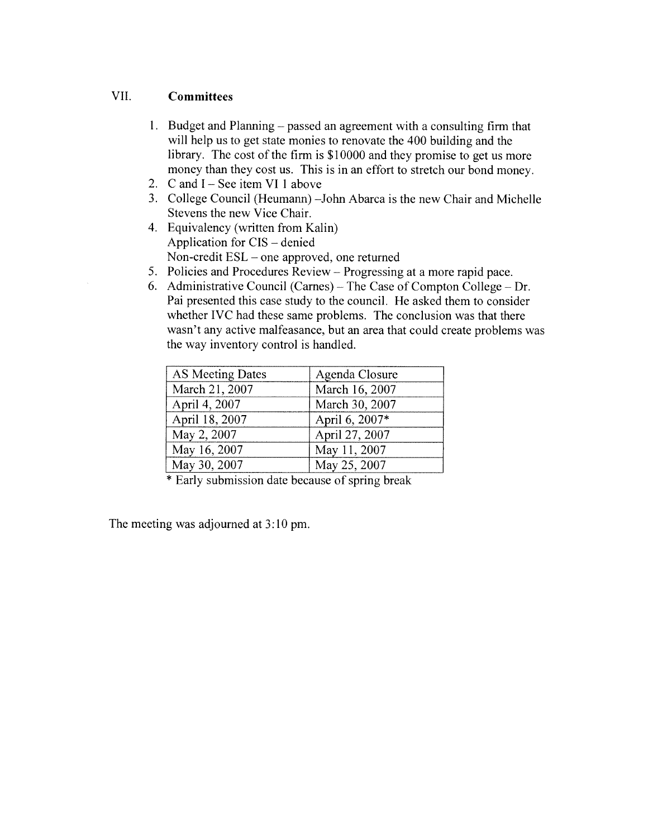#### **VII Committees**

- 1. Budget and Planning passed an agreement with a consulting firm that will help us to get state monies to renovate the 400 building and the library. The cost of the firm is \$10000 and they promise to get us more money than they cost us. This is in an effort to stretch our bond money.
- 2. C and  $I -$  See item VI 1 above
- 3. College Council (Heumann) John Abarca is the new Chair and Michelle Stevens the new Vice Chair.
- 4. Equivalency (written from Kalin) Application for CIS – denied Non-credit  $ESL$  – one approved, one returned
- 5. Policies and Procedures Review Progressing at a more rapid pace.
- 6. Administrative Council (Carnes) The Case of Compton College Dr. Pai presented this case study to the council. He asked them to consider whether IVC had these same problems. The conclusion was that there wasn't any active malfeasance, but an area that could create problems was the way inventory control is handled.

| AS Meeting Dates | Agenda Closure |
|------------------|----------------|
| March 21, 2007   | March 16, 2007 |
| April 4, 2007    | March 30, 2007 |
| April 18, 2007   | April 6, 2007* |
| May 2, 2007      | April 27, 2007 |
| May 16, 2007     | May 11, 2007   |
| May 30, 2007     | May 25, 2007   |

\* Early submission date because of spring break

The meeting was adjourned at 3:10 pm.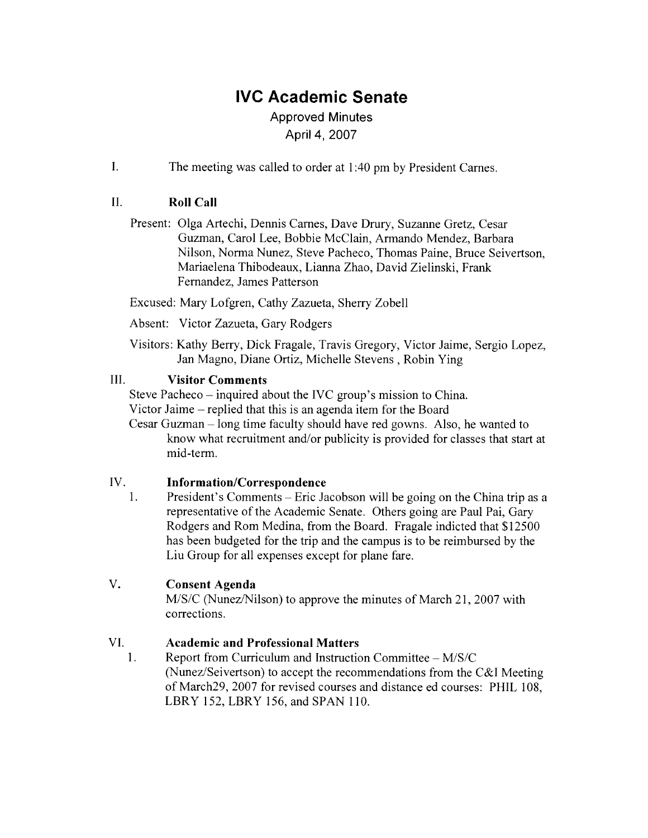# **IVC Academic Senate**

# **Approved Minutes** April 4, 2007

 $\mathbf{I}$ . The meeting was called to order at 1:40 pm by President Carnes.

#### $\Pi$ . **Roll Call**

Present: Olga Artechi, Dennis Carnes, Dave Drury, Suzanne Gretz, Cesar Guzman, Carol Lee, Bobbie McClain, Armando Mendez, Barbara Nilson, Norma Nunez, Steve Pacheco, Thomas Paine, Bruce Seivertson, Mariaelena Thibodeaux, Lianna Zhao, David Zielinski, Frank Fernandez, James Patterson

Excused: Mary Lofgren, Cathy Zazueta, Sherry Zobell

Absent: Victor Zazueta, Gary Rodgers

Visitors: Kathy Berry, Dick Fragale, Travis Gregory, Victor Jaime, Sergio Lopez, Jan Magno, Diane Ortiz, Michelle Stevens, Robin Ying

#### III. **Visitor Comments**

Steve Pacheco – inquired about the IVC group's mission to China.

Victor Jaime – replied that this is an agenda item for the Board

Cesar Guzman – long time faculty should have red gowns. Also, he wanted to know what recruitment and/or publicity is provided for classes that start at mid-term.

#### IV. **Information/Correspondence**

 $1<sub>1</sub>$ President's Comments – Eric Jacobson will be going on the China trip as a representative of the Academic Senate. Others going are Paul Pai, Gary Rodgers and Rom Medina, from the Board. Fragale indicted that \$12500 has been budgeted for the trip and the campus is to be reimbursed by the Liu Group for all expenses except for plane fare.

#### V. **Consent Agenda**

M/S/C (Nunez/Nilson) to approve the minutes of March 21, 2007 with corrections.

#### VI. **Academic and Professional Matters**

1. Report from Curriculum and Instruction Committee - M/S/C (Nunez/Seivertson) to accept the recommendations from the C&I Meeting of March29, 2007 for revised courses and distance ed courses: PHIL 108, LBRY 152, LBRY 156, and SPAN 110.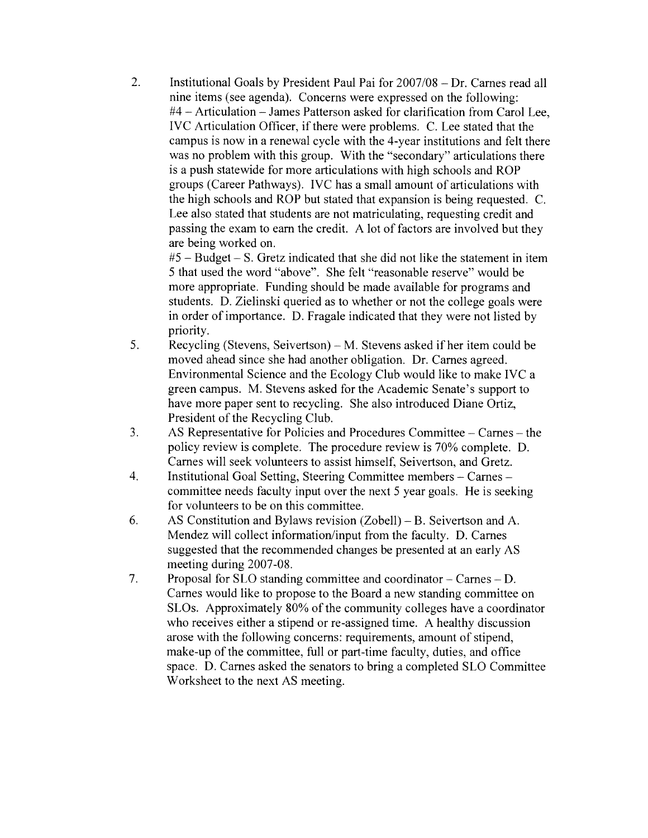$2.$ Institutional Goals by President Paul Pai for 2007/08 - Dr. Carnes read all nine items (see agenda). Concerns were expressed on the following: #4 – Articulation – James Patterson asked for clarification from Carol Lee. IVC Articulation Officer, if there were problems. C. Lee stated that the campus is now in a renewal cycle with the 4-year institutions and felt there was no problem with this group. With the "secondary" articulations there is a push statewide for more articulations with high schools and ROP groups (Career Pathways). IVC has a small amount of articulations with the high schools and ROP but stated that expansion is being requested. C. Lee also stated that students are not matriculating, requesting credit and passing the exam to earn the credit. A lot of factors are involved but they are being worked on.

 $#5 - Budget - S$ . Gretz indicated that she did not like the statement in item 5 that used the word "above". She felt "reasonable reserve" would be more appropriate. Funding should be made available for programs and students. D. Zielinski queried as to whether or not the college goals were in order of importance. D. Fragale indicated that they were not listed by priority.

- 5. Recycling (Stevens, Seivertson) – M. Stevens asked if her item could be moved ahead since she had another obligation. Dr. Carnes agreed. Environmental Science and the Ecology Club would like to make IVC a green campus. M. Stevens asked for the Academic Senate's support to have more paper sent to recycling. She also introduced Diane Ortiz, President of the Recycling Club.
- AS Representative for Policies and Procedures Committee Carnes the  $3.$ policy review is complete. The procedure review is 70% complete. D. Carnes will seek volunteers to assist himself, Seivertson, and Gretz.
- Institutional Goal Setting, Steering Committee members Carnes -4. committee needs faculty input over the next 5 year goals. He is seeking for volunteers to be on this committee.
- AS Constitution and Bylaws revision (Zobell) B. Seivertson and A. 6. Mendez will collect information/input from the faculty. D. Carnes suggested that the recommended changes be presented at an early AS meeting during 2007-08.
- $7<sub>1</sub>$ Proposal for SLO standing committee and coordinator – Carnes – D. Carnes would like to propose to the Board a new standing committee on SLOs. Approximately 80% of the community colleges have a coordinator who receives either a stipend or re-assigned time. A healthy discussion arose with the following concerns: requirements, amount of stipend, make-up of the committee, full or part-time faculty, duties, and office space. D. Carnes asked the senators to bring a completed SLO Committee Worksheet to the next AS meeting.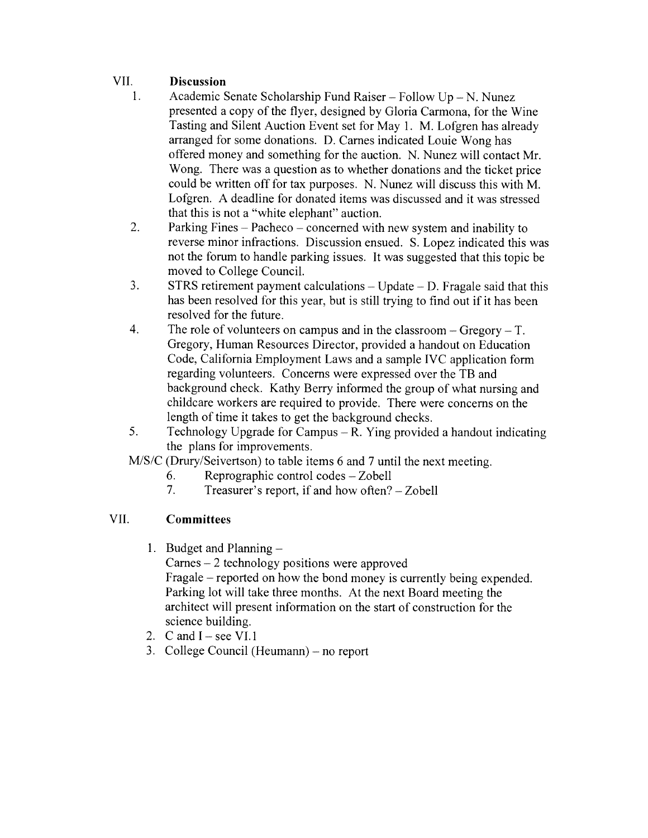#### VII. **Discussion**

- $\mathbf{1}$ Academic Senate Scholarship Fund Raiser – Follow Up – N. Nunez presented a copy of the flyer, designed by Gloria Carmona, for the Wine Tasting and Silent Auction Event set for May 1. M. Lofgren has already arranged for some donations. D. Carnes indicated Louie Wong has offered money and something for the auction. N. Nunez will contact Mr. Wong. There was a question as to whether donations and the ticket price could be written off for tax purposes. N. Nunez will discuss this with M. Lofgren. A deadline for donated items was discussed and it was stressed that this is not a "white elephant" auction.
- $2.$ Parking Fines – Pacheco – concerned with new system and inability to reverse minor infractions. Discussion ensued. S. Lopez indicated this was not the forum to handle parking issues. It was suggested that this topic be moved to College Council.
- 3.  $STRS$  retirement payment calculations – Update – D. Fragale said that this has been resolved for this year, but is still trying to find out if it has been resolved for the future.
- $4.$ The role of volunteers on campus and in the classroom  $-$  Gregory  $-$  T. Gregory, Human Resources Director, provided a handout on Education Code, California Employment Laws and a sample IVC application form regarding volunteers. Concerns were expressed over the TB and background check. Kathy Berry informed the group of what nursing and childcare workers are required to provide. There were concerns on the length of time it takes to get the background checks.
- 5. Technology Upgrade for Campus  $- R$ . Ying provided a handout indicating the plans for improvements.
- M/S/C (Drury/Seivertson) to table items 6 and 7 until the next meeting.
	- Reprographic control codes Zobell 6.
	- $7.$ Treasurer's report, if and how often? - Zobell

#### VII. **Committees**

1. Budget and Planning  $-$ 

 $Carnes - 2$  technology positions were approved Fragale – reported on how the bond money is currently being expended. Parking lot will take three months. At the next Board meeting the architect will present information on the start of construction for the science building.

- 2. C and  $I \text{see VI.1}$
- 3. College Council (Heumann) no report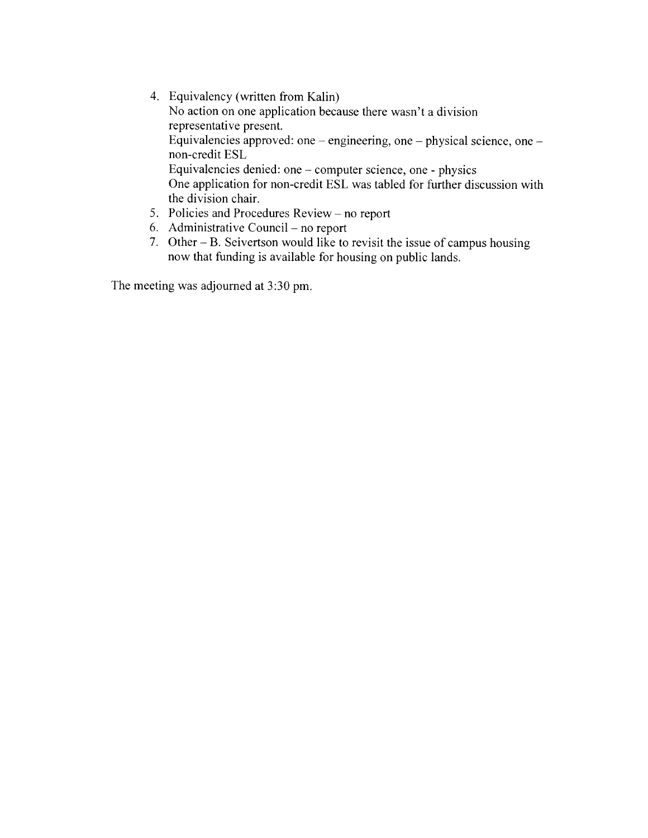- 4. Equivalency (written from Kalin) No action on one application because there wasn't a division representative present. Equivalencies approved: one – engineering, one – physical science, one – non-credit ESL Equivalencies denied: one – computer science, one - physics One application for non-credit ESL was tabled for further discussion with the division chair.
- 5. Policies and Procedures Review no report
- 6. Administrative Council no report
- 7. Other  $B$ . Seivertson would like to revisit the issue of campus housing now that funding is available for housing on public lands.

The meeting was adjourned at 3:30 pm.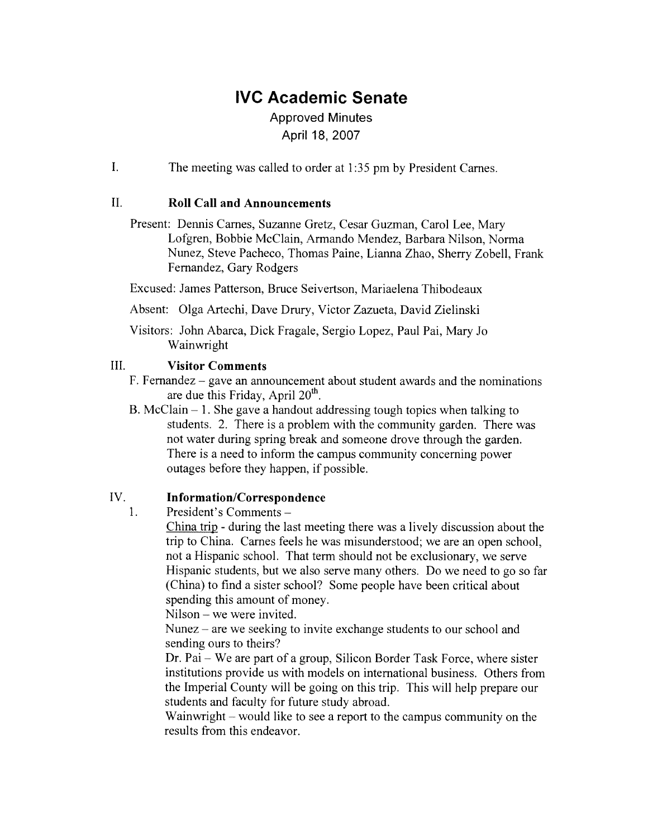# **IVC Academic Senate**

# **Approved Minutes** April 18, 2007

 $\mathbf{I}$ . The meeting was called to order at 1:35 pm by President Carnes.

#### $II.$ **Roll Call and Announcements**

Present: Dennis Carnes, Suzanne Gretz, Cesar Guzman, Carol Lee, Mary Lofgren, Bobbie McClain, Armando Mendez, Barbara Nilson, Norma Nunez, Steve Pacheco, Thomas Paine, Lianna Zhao, Sherry Zobell, Frank Fernandez, Gary Rodgers

Excused: James Patterson, Bruce Seivertson, Mariaelena Thibodeaux

Absent: Olga Artechi, Dave Drury, Victor Zazueta, David Zielinski

Visitors: John Abarca, Dick Fragale, Sergio Lopez, Paul Pai, Mary Jo Wainwright

#### III. **Visitor Comments**

- F. Fernandez  $-$  gave an announcement about student awards and the nominations are due this Friday, April  $20<sup>th</sup>$ .
- B. McClain  $-1$ . She gave a handout addressing tough topics when talking to students. 2. There is a problem with the community garden. There was not water during spring break and someone drove through the garden. There is a need to inform the campus community concerning power outages before they happen, if possible.

#### IV. **Information/Correspondence**

President's Comments - $\mathbf{1}$ .

> China trip - during the last meeting there was a lively discussion about the trip to China. Carnes feels he was misunderstood; we are an open school, not a Hispanic school. That term should not be exclusionary, we serve Hispanic students, but we also serve many others. Do we need to go so far (China) to find a sister school? Some people have been critical about spending this amount of money.

Nilson – we were invited.

Nunez – are we seeking to invite exchange students to our school and sending ours to theirs?

Dr. Pai – We are part of a group, Silicon Border Task Force, where sister institutions provide us with models on international business. Others from the Imperial County will be going on this trip. This will help prepare our students and faculty for future study abroad.

Wainwright – would like to see a report to the campus community on the results from this endeavor.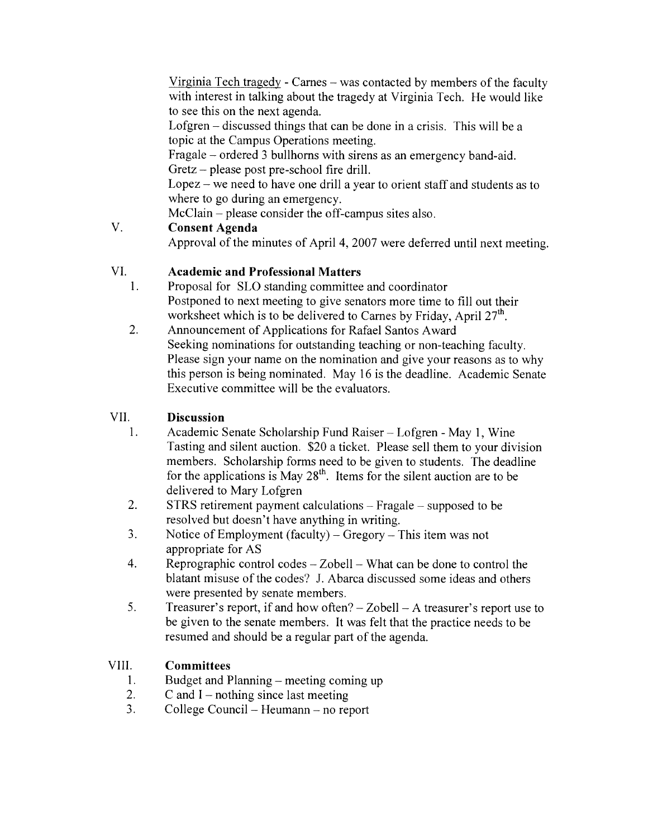Virginia Tech tragedy - Carnes – was contacted by members of the faculty with interest in talking about the tragedy at Virginia Tech. He would like to see this on the next agenda.

Lofgren – discussed things that can be done in a crisis. This will be a topic at the Campus Operations meeting.

Fragale – ordered 3 bullhorns with sirens as an emergency band-aid. Gretz – please post pre-school fire drill.

 $Lopez - we need to have one drill a year to orient staff and students as to$ where to go during an emergency.

McClain – please consider the off-campus sites also.

#### V. **Consent Agenda**

Approval of the minutes of April 4, 2007 were deferred until next meeting.

#### VI. **Academic and Professional Matters**

- $1.$ Proposal for SLO standing committee and coordinator Postponed to next meeting to give senators more time to fill out their worksheet which is to be delivered to Carnes by Friday, April 27<sup>th</sup>.
- $2.$ Announcement of Applications for Rafael Santos Award Seeking nominations for outstanding teaching or non-teaching faculty. Please sign your name on the nomination and give your reasons as to why this person is being nominated. May 16 is the deadline. Academic Senate Executive committee will be the evaluators.

#### VII. **Discussion**

- Academic Senate Scholarship Fund Raiser Lofgren May 1, Wine 1. Tasting and silent auction. \$20 a ticket. Please sell them to your division members. Scholarship forms need to be given to students. The deadline for the applications is May  $28<sup>th</sup>$ . Items for the silent auction are to be delivered to Mary Lofgren
- 2.  $STRS$  retirement payment calculations – Fragale – supposed to be resolved but doesn't have anything in writing.
- $3.$ Notice of Employment (faculty) – Gregory – This item was not appropriate for AS
- $4.$ Reprographic control codes  $-$  Zobell  $-$  What can be done to control the blatant misuse of the codes? J. Abarca discussed some ideas and others were presented by senate members.
- 5. Treasurer's report, if and how often?  $-$  Zobell  $-$  A treasurer's report use to be given to the senate members. It was felt that the practice needs to be resumed and should be a regular part of the agenda.

#### VIII. **Committees**

- $1<sub>1</sub>$ Budget and Planning – meeting coming up
- C and  $I$  nothing since last meeting  $2.$
- $\overline{3}$ . College Council – Heumann – no report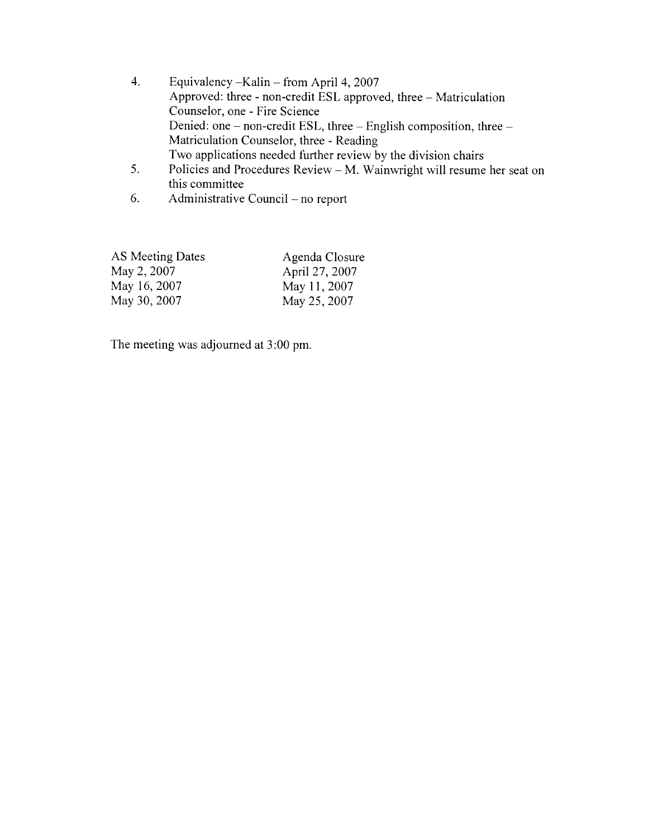- $4.$ Equivalency - Kalin - from April 4, 2007 Approved: three - non-credit ESL approved, three - Matriculation Counselor, one - Fire Science Denied: one – non-credit ESL, three – English composition, three – Matriculation Counselor, three - Reading Two applications needed further review by the division chairs
- $5.$ Policies and Procedures Review – M. Wainwright will resume her seat on this committee
- Administrative Council no report 6.

| AS Meeting Dates | Agenda Closure |
|------------------|----------------|
| May 2, 2007      | April 27, 2007 |
| May 16, 2007     | May 11, 2007   |
| May 30, 2007     | May 25, 2007   |

The meeting was adjourned at 3:00 pm.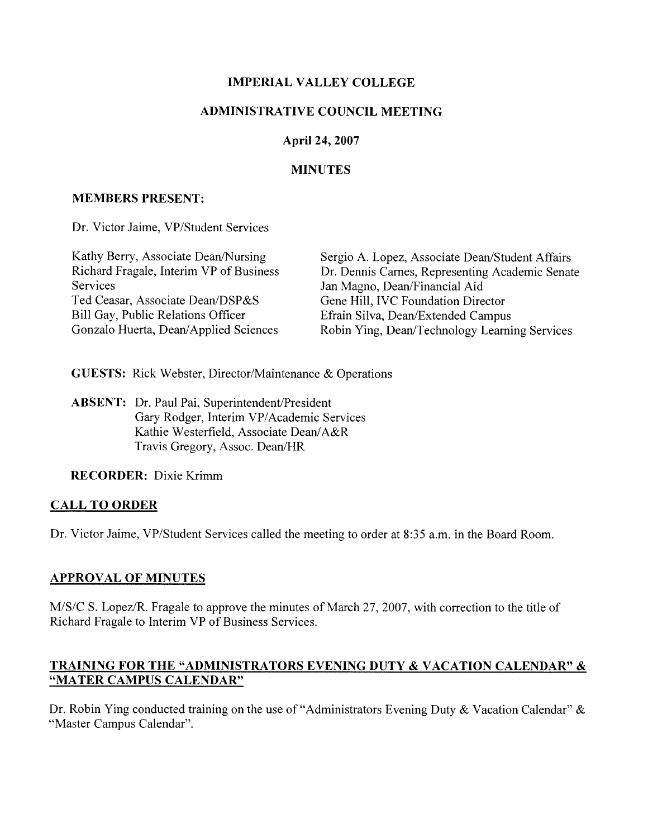# **IMPERIAL VALLEY COLLEGE**

# **ADMINISTRATIVE COUNCIL MEETING**

# April 24, 2007

# **MINUTES**

# **MEMBERS PRESENT:**

Dr. Victor Jaime, VP/Student Services

| Kathy Berry, Associate Dean/Nursing     | Sergio A. Lopez, Associate Dean/Student Affairs |
|-----------------------------------------|-------------------------------------------------|
| Richard Fragale, Interim VP of Business | Dr. Dennis Carnes, Representing Academic Senate |
| Services                                | Jan Magno, Dean/Financial Aid                   |
| Ted Ceasar, Associate Dean/DSP&S        | Gene Hill, IVC Foundation Director              |
| Bill Gay, Public Relations Officer      | Efrain Silva, Dean/Extended Campus              |
| Gonzalo Huerta, Dean/Applied Sciences   | Robin Ying, Dean/Technology Learning Services   |

**GUESTS:** Rick Webster, Director/Maintenance & Operations

**ABSENT:** Dr. Paul Pai, Superintendent/President Gary Rodger, Interim VP/Academic Services Kathie Westerfield, Associate Dean/A&R Travis Gregory, Assoc. Dean/HR

**RECORDER:** Dixie Krimm

# **CALL TO ORDER**

Dr. Victor Jaime, VP/Student Services called the meeting to order at 8:35 a.m. in the Board Room.

# **APPROVAL OF MINUTES**

M/S/C S. Lopez/R. Fragale to approve the minutes of March 27, 2007, with correction to the title of Richard Fragale to Interim VP of Business Services.

# **TRAINING FOR THE "ADMINISTRATORS EVENING DUTY & VACATION CALENDAR" &** "MATER CAMPUS CALENDAR"

Dr. Robin Ying conducted training on the use of "Administrators Evening Duty & Vacation Calendar" & "Master Campus Calendar".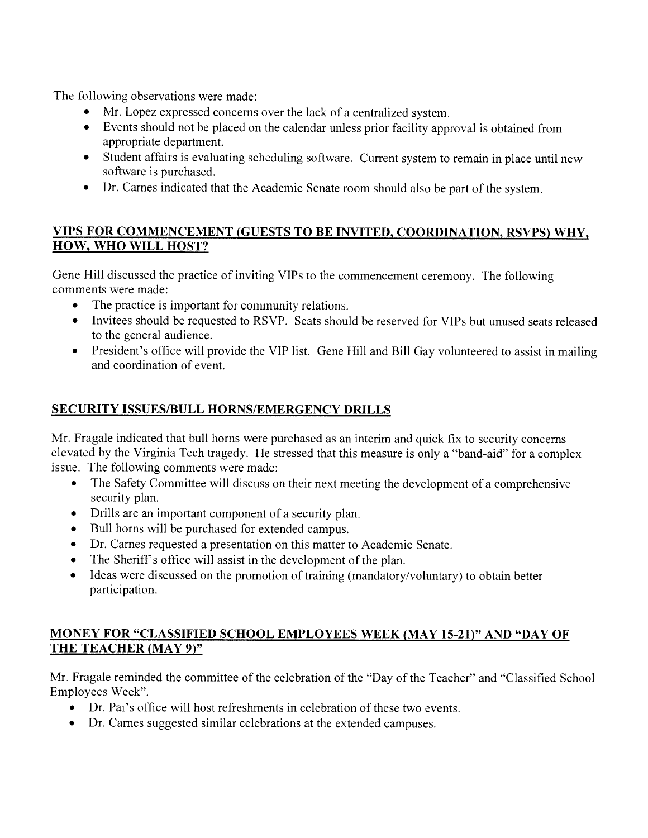The following observations were made:

- Mr. Lopez expressed concerns over the lack of a centralized system.
- $\bullet$ Events should not be placed on the calendar unless prior facility approval is obtained from appropriate department.
- Student affairs is evaluating scheduling software. Current system to remain in place until new  $\bullet$ software is purchased.
- Dr. Carnes indicated that the Academic Senate room should also be part of the system.

# VIPS FOR COMMENCEMENT (GUESTS TO BE INVITED, COORDINATION, RSVPS) WHY, HOW, WHO WILL HOST?

Gene Hill discussed the practice of inviting VIPs to the commencement ceremony. The following comments were made:

- The practice is important for community relations.  $\bullet$
- Invitees should be requested to RSVP. Seats should be reserved for VIPs but unused seats released to the general audience.
- President's office will provide the VIP list. Gene Hill and Bill Gay volunteered to assist in mailing and coordination of event.

# SECURITY ISSUES/BULL HORNS/EMERGENCY DRILLS

Mr. Fragale indicated that bull horns were purchased as an interim and quick fix to security concerns elevated by the Virginia Tech tragedy. He stressed that this measure is only a "band-aid" for a complex issue. The following comments were made:

- The Safety Committee will discuss on their next meeting the development of a comprehensive security plan.
- Drills are an important component of a security plan.
- Bull horns will be purchased for extended campus.
- Dr. Carnes requested a presentation on this matter to Academic Senate.  $\bullet$
- The Sheriff's office will assist in the development of the plan.
- Ideas were discussed on the promotion of training (mandatory/voluntary) to obtain better participation.

# **MONEY FOR "CLASSIFIED SCHOOL EMPLOYEES WEEK (MAY 15-21)" AND "DAY OF** THE TEACHER (MAY 9)"

Mr. Fragale reminded the committee of the celebration of the "Day of the Teacher" and "Classified School" Employees Week".

- Dr. Pai's office will host refreshments in celebration of these two events.
- Dr. Carnes suggested similar celebrations at the extended campuses.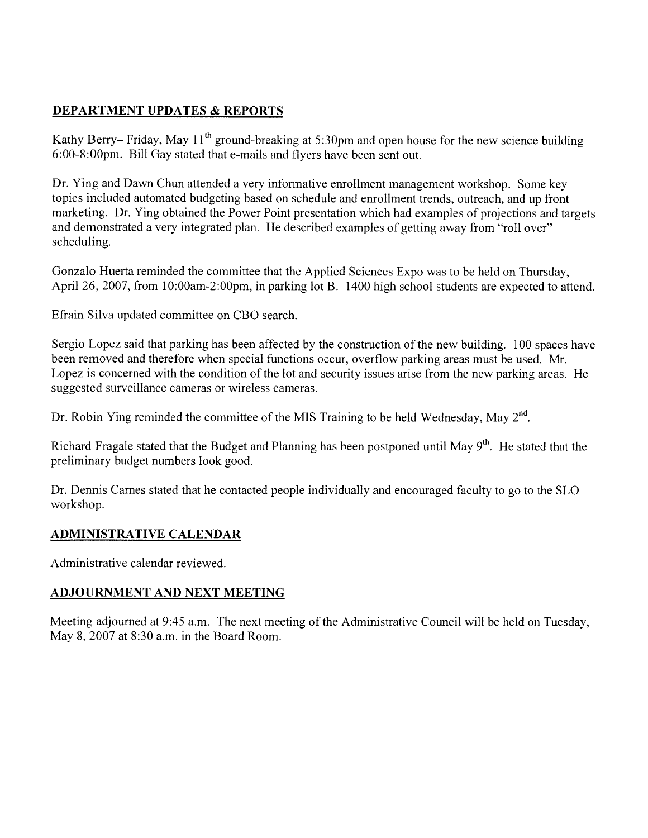# **DEPARTMENT UPDATES & REPORTS**

Kathy Berry– Friday, May 11<sup>th</sup> ground-breaking at 5:30pm and open house for the new science building 6:00-8:00pm. Bill Gav stated that e-mails and flyers have been sent out.

Dr. Ying and Dawn Chun attended a very informative enrollment management workshop. Some key topics included automated budgeting based on schedule and enrollment trends, outreach, and up front marketing. Dr. Ying obtained the Power Point presentation which had examples of projections and targets and demonstrated a very integrated plan. He described examples of getting away from "roll over" scheduling.

Gonzalo Huerta reminded the committee that the Applied Sciences Expo was to be held on Thursday. April 26, 2007, from 10:00am-2:00pm, in parking lot B. 1400 high school students are expected to attend.

Efrain Silva updated committee on CBO search.

Sergio Lopez said that parking has been affected by the construction of the new building. 100 spaces have been removed and therefore when special functions occur, overflow parking areas must be used. Mr. Lopez is concerned with the condition of the lot and security issues arise from the new parking areas. He suggested surveillance cameras or wireless cameras.

Dr. Robin Ying reminded the committee of the MIS Training to be held Wednesday, May 2<sup>nd</sup>.

Richard Fragale stated that the Budget and Planning has been postponed until May 9<sup>th</sup>. He stated that the preliminary budget numbers look good.

Dr. Dennis Carnes stated that he contacted people individually and encouraged faculty to go to the SLO workshop.

# **ADMINISTRATIVE CALENDAR**

Administrative calendar reviewed.

# ADJOURNMENT AND NEXT MEETING

Meeting adjourned at 9:45 a.m. The next meeting of the Administrative Council will be held on Tuesday, May 8, 2007 at 8:30 a.m. in the Board Room.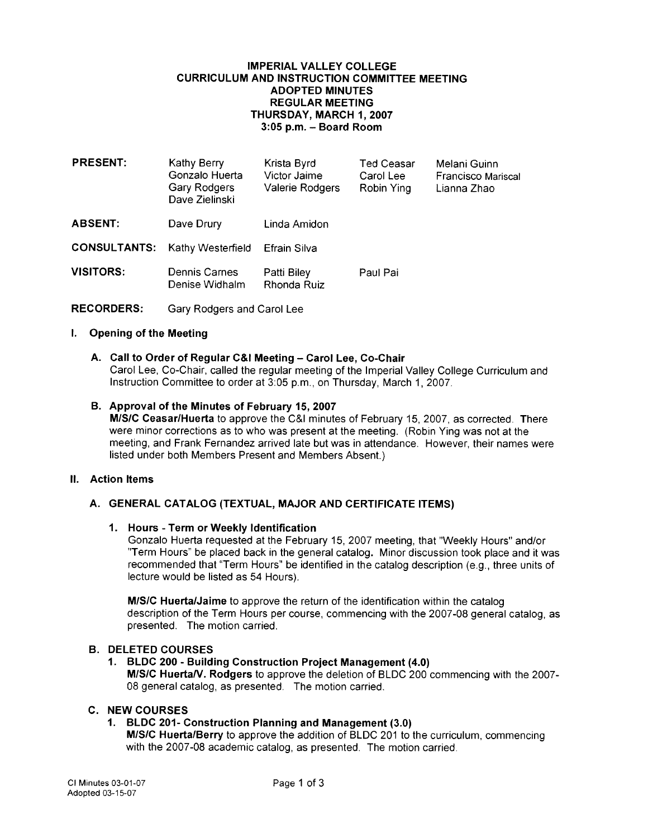## **IMPERIAL VALLEY COLLEGE CURRICULUM AND INSTRUCTION COMMITTEE MEETING ADOPTED MINUTFS REGULAR MEETING** THURSDAY, MARCH 1, 2007 3:05 p.m. - Board Room

| <b>PRESENT:</b>     | Kathy Berry<br>Gonzalo Huerta<br>Gary Rodgers<br>Dave Zielinski | Krista Byrd<br>Victor Jaime<br>Valerie Rodgers | <b>Ted Ceasar</b><br>Carol Lee<br>Robin Ying | Melani Guinn<br>Francisco Mariscal<br>Lianna Zhao |
|---------------------|-----------------------------------------------------------------|------------------------------------------------|----------------------------------------------|---------------------------------------------------|
| <b>ABSENT:</b>      | Dave Drury                                                      | Linda Amidon                                   |                                              |                                                   |
| <b>CONSULTANTS:</b> | Kathy Westerfield                                               | Efrain Silva                                   |                                              |                                                   |
| <b>VISITORS:</b>    | Dennis Carnes<br>Denise Widhalm                                 | Patti Biley<br>Rhonda Ruiz                     | Paul Pai                                     |                                                   |

**RECORDERS:** Gary Rodgers and Carol Lee

## I. Opening of the Meeting

## A. Call to Order of Regular C&I Meeting - Carol Lee, Co-Chair

Carol Lee, Co-Chair, called the regular meeting of the Imperial Valley College Curriculum and Instruction Committee to order at 3:05 p.m., on Thursday, March 1, 2007.

## B. Approval of the Minutes of February 15, 2007

M/S/C Ceasar/Huerta to approve the C&I minutes of February 15, 2007, as corrected. There were minor corrections as to who was present at the meeting. (Robin Ying was not at the meeting, and Frank Fernandez arrived late but was in attendance. However, their names were listed under both Members Present and Members Absent.)

## II. Action Items

## A. GENERAL CATALOG (TEXTUAL, MAJOR AND CERTIFICATE ITEMS)

## 1. Hours - Term or Weekly Identification

Gonzalo Huerta requested at the February 15, 2007 meeting, that "Weekly Hours" and/or "Term Hours" be placed back in the general catalog. Minor discussion took place and it was recommended that "Term Hours" be identified in the catalog description (e.g., three units of lecture would be listed as 54 Hours).

M/S/C Huerta/Jaime to approve the return of the identification within the catalog description of the Term Hours per course, commencing with the 2007-08 general catalog, as presented. The motion carried.

## **B. DELETED COURSES**

## 1. BLDC 200 - Building Construction Project Management (4.0) M/S/C Huerta/V. Rodgers to approve the deletion of BLDC 200 commencing with the 2007-08 general catalog, as presented. The motion carried.

## **C. NEW COURSES**

## 1. BLDC 201- Construction Planning and Management (3.0)

M/S/C Huerta/Berry to approve the addition of BLDC 201 to the curriculum, commencing with the 2007-08 academic catalog, as presented. The motion carried.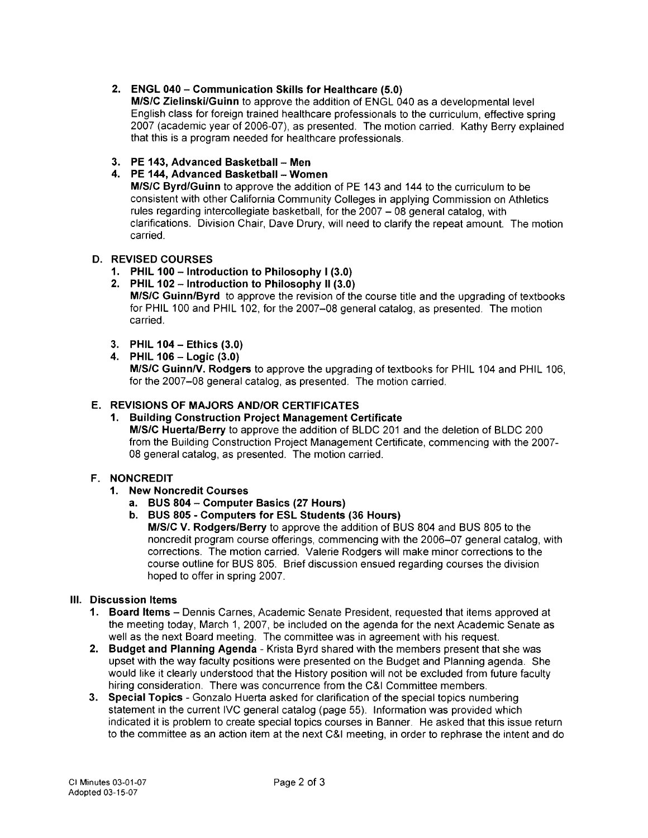## 2. ENGL 040 - Communication Skills for Healthcare (5.0)

M/S/C Zielinski/Guinn to approve the addition of ENGL 040 as a developmental level English class for foreign trained healthcare professionals to the curriculum, effective spring 2007 (academic year of 2006-07), as presented. The motion carried. Kathy Berry explained that this is a program needed for healthcare professionals.

3. PE 143, Advanced Basketball - Men

## 4. PE 144, Advanced Basketball - Women

M/S/C Byrd/Guinn to approve the addition of PE 143 and 144 to the curriculum to be consistent with other California Community Colleges in applying Commission on Athletics rules regarding intercollegiate basketball, for the 2007 - 08 general catalog, with clarifications. Division Chair, Dave Drury, will need to clarify the repeat amount. The motion carried.

## **D. REVISED COURSES**

- 1. PHIL 100 Introduction to Philosophy I (3.0)
- 2. PHIL 102 Introduction to Philosophy II (3.0) M/S/C Guinn/Byrd to approve the revision of the course title and the upgrading of textbooks for PHIL 100 and PHIL 102, for the 2007-08 general catalog, as presented. The motion carried.
- 3. PHIL 104 Ethics (3.0)
- 4. PHIL  $106 -$ Logic  $(3.0)$

M/S/C Guinn/V. Rodgers to approve the upgrading of textbooks for PHIL 104 and PHIL 106, for the 2007-08 general catalog, as presented. The motion carried.

## E. REVISIONS OF MAJORS AND/OR CERTIFICATES

1. Building Construction Project Management Certificate M/S/C Huerta/Berry to approve the addition of BLDC 201 and the deletion of BLDC 200 from the Building Construction Project Management Certificate, commencing with the 2007-08 general catalog, as presented. The motion carried.

## **F. NONCREDIT**

- 1. New Noncredit Courses
	- a. BUS 804 Computer Basics (27 Hours)
	- b. BUS 805 Computers for ESL Students (36 Hours) M/S/C V. Rodgers/Berry to approve the addition of BUS 804 and BUS 805 to the noncredit program course offerings, commencing with the 2006–07 general catalog, with corrections. The motion carried. Valerie Rodgers will make minor corrections to the course outline for BUS 805. Brief discussion ensued regarding courses the division hoped to offer in spring 2007.

# III. Discussion Items

- 1. Board Items Dennis Carnes, Academic Senate President, requested that items approved at the meeting today, March 1, 2007, be included on the agenda for the next Academic Senate as well as the next Board meeting. The committee was in agreement with his request.
- 2. Budget and Planning Agenda Krista Byrd shared with the members present that she was upset with the way faculty positions were presented on the Budget and Planning agenda. She would like it clearly understood that the History position will not be excluded from future faculty hiring consideration. There was concurrence from the C&I Committee members.
- 3. Special Topics Gonzalo Huerta asked for clarification of the special topics numbering statement in the current IVC general catalog (page 55). Information was provided which indicated it is problem to create special topics courses in Banner. He asked that this issue return to the committee as an action item at the next C&I meeting, in order to rephrase the intent and do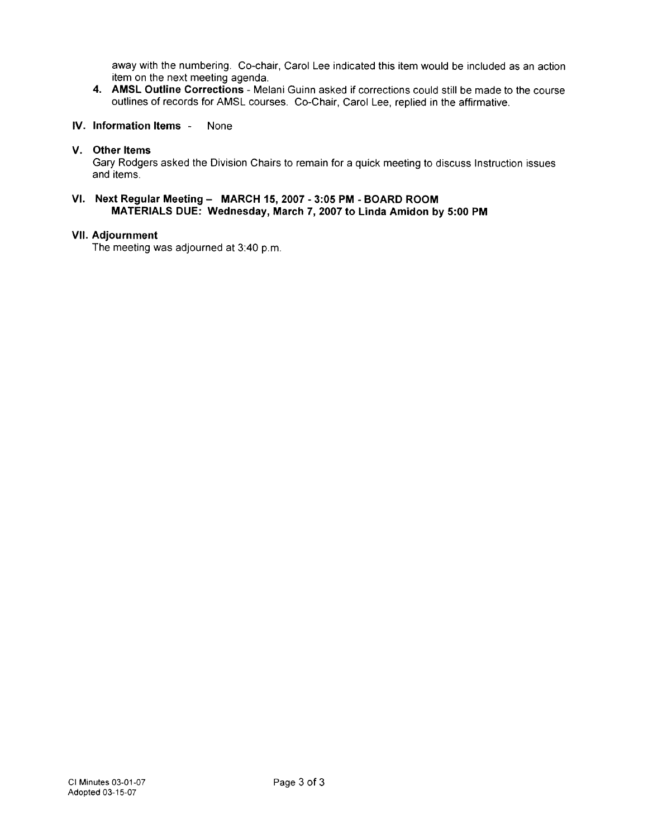away with the numbering. Co-chair, Carol Lee indicated this item would be included as an action item on the next meeting agenda.

4. AMSL Outline Corrections - Melani Guinn asked if corrections could still be made to the course outlines of records for AMSL courses. Co-Chair, Carol Lee, replied in the affirmative.

#### IV. Information Items -None

## V. Other Items

Gary Rodgers asked the Division Chairs to remain for a quick meeting to discuss Instruction issues and items.

## VI. Next Regular Meeting - MARCH 15, 2007 - 3:05 PM - BOARD ROOM MATERIALS DUE: Wednesday, March 7, 2007 to Linda Amidon by 5:00 PM

## **VII. Adjournment**

The meeting was adjourned at 3:40 p.m.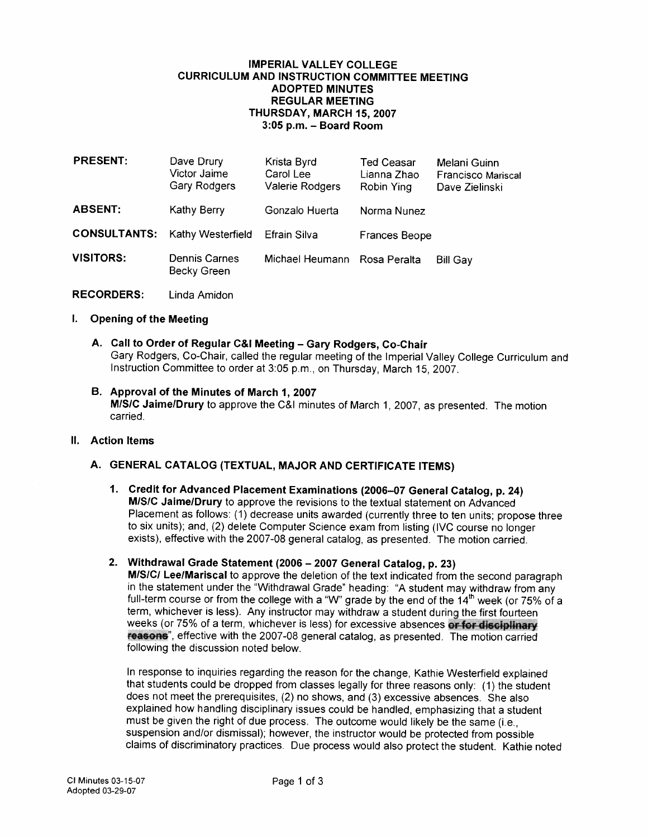## **IMPERIAL VALLEY COLLEGE CURRICULUM AND INSTRUCTION COMMITTEE MEETING ADOPTED MINUTES REGULAR MEETING** THURSDAY, MARCH 15, 2007 3:05 p.m. - Board Room

| <b>PRESENT:</b>     | Dave Drury<br>Victor Jaime<br><b>Gary Rodgers</b> | Krista Byrd<br>Carol Lee<br>Valerie Rodgers | Ted Ceasar<br>Lianna Zhao<br>Robin Ying | Melani Guinn<br><b>Francisco Mariscal</b><br>Dave Zielinski |
|---------------------|---------------------------------------------------|---------------------------------------------|-----------------------------------------|-------------------------------------------------------------|
| <b>ABSENT:</b>      | Kathy Berry                                       | Gonzalo Huerta                              | Norma Nunez                             |                                                             |
| <b>CONSULTANTS:</b> | Kathy Westerfield                                 | Efrain Silva                                | <b>Frances Beope</b>                    |                                                             |
| <b>VISITORS:</b>    | <b>Dennis Carnes</b><br>Becky Green               | Michael Heumann Rosa Peralta                |                                         | <b>Bill Gay</b>                                             |

**RECORDERS:** Linda Amidon

## I. Opening of the Meeting

- A. Call to Order of Regular C&I Meeting Gary Rodgers, Co-Chair Gary Rodgers, Co-Chair, called the regular meeting of the Imperial Valley College Curriculum and Instruction Committee to order at 3:05 p.m., on Thursday, March 15, 2007.
- B. Approval of the Minutes of March 1, 2007 M/S/C Jaime/Drury to approve the C&I minutes of March 1, 2007, as presented. The motion carried.
- II. Action Items

## A. GENERAL CATALOG (TEXTUAL, MAJOR AND CERTIFICATE ITEMS)

- 1. Credit for Advanced Placement Examinations (2006-07 General Catalog, p. 24) M/S/C Jaime/Drury to approve the revisions to the textual statement on Advanced Placement as follows: (1) decrease units awarded (currently three to ten units; propose three to six units); and, (2) delete Computer Science exam from listing (IVC course no longer exists), effective with the 2007-08 general catalog, as presented. The motion carried.
- 2. Withdrawal Grade Statement (2006 2007 General Catalog, p. 23)

M/S/C/ Lee/Mariscal to approve the deletion of the text indicated from the second paragraph in the statement under the "Withdrawal Grade" heading: "A student may withdraw from any full-term course or from the college with a "W" grade by the end of the 14<sup>th</sup> week (or 75% of a term, whichever is less). Any instructor may withdraw a student during the first fourteen weeks (or 75% of a term, whichever is less) for excessive absences or for disciplinary reasons', effective with the 2007-08 general catalog, as presented. The motion carried following the discussion noted below.

In response to inquiries regarding the reason for the change, Kathie Westerfield explained that students could be dropped from classes legally for three reasons only: (1) the student does not meet the prerequisites, (2) no shows, and (3) excessive absences. She also explained how handling disciplinary issues could be handled, emphasizing that a student must be given the right of due process. The outcome would likely be the same (i.e., suspension and/or dismissal); however, the instructor would be protected from possible claims of discriminatory practices. Due process would also protect the student. Kathie noted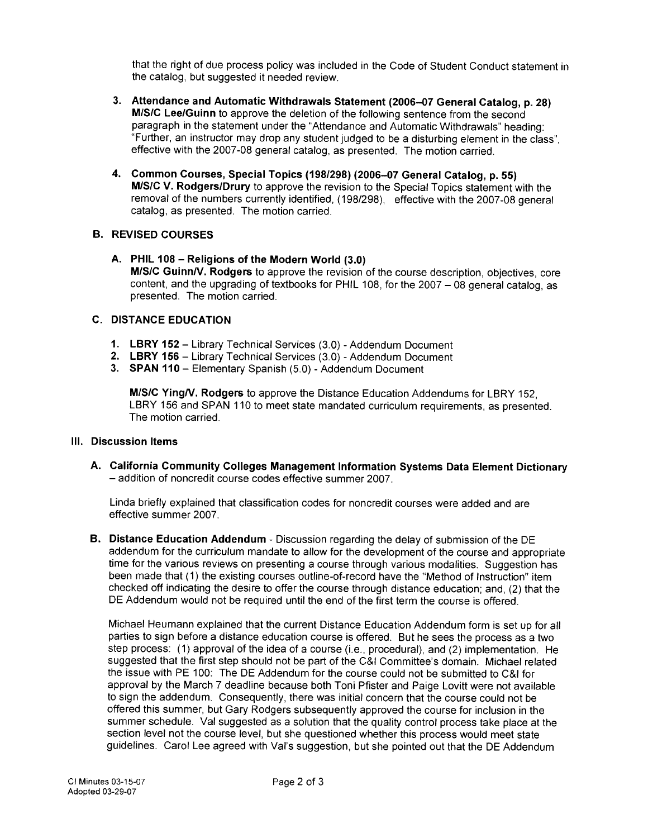that the right of due process policy was included in the Code of Student Conduct statement in the catalog, but suggested it needed review.

- 3. Attendance and Automatic Withdrawals Statement (2006-07 General Catalog, p. 28) M/S/C Lee/Guinn to approve the deletion of the following sentence from the second paragraph in the statement under the "Attendance and Automatic Withdrawals" heading: "Further, an instructor may drop any student judged to be a disturbing element in the class". effective with the 2007-08 general catalog, as presented. The motion carried.
- 4. Common Courses, Special Topics (198/298) (2006-07 General Catalog, p. 55) M/S/C V. Rodgers/Drury to approve the revision to the Special Topics statement with the removal of the numbers currently identified, (198/298), effective with the 2007-08 general catalog, as presented. The motion carried.

## **B. REVISED COURSES**

A. PHIL 108 - Religions of the Modern World (3.0) M/S/C Guinn/V. Rodgers to approve the revision of the course description, objectives, core content, and the upgrading of textbooks for PHIL 108, for the 2007 - 08 general catalog, as presented. The motion carried.

## **C. DISTANCE EDUCATION**

- 1. LBRY 152 Library Technical Services (3.0) Addendum Document
- 2. LBRY 156 Library Technical Services (3.0) Addendum Document
- 3. SPAN 110 Elementary Spanish (5.0) Addendum Document

M/S/C Ying/V. Rodgers to approve the Distance Education Addendums for LBRY 152. LBRY 156 and SPAN 110 to meet state mandated curriculum requirements, as presented. The motion carried

## III. Discussion Items

A. California Community Colleges Management Information Systems Data Element Dictionary - addition of noncredit course codes effective summer 2007.

Linda briefly explained that classification codes for noncredit courses were added and are effective summer 2007.

B. Distance Education Addendum - Discussion regarding the delay of submission of the DE addendum for the curriculum mandate to allow for the development of the course and appropriate time for the various reviews on presenting a course through various modalities. Suggestion has been made that (1) the existing courses outline-of-record have the "Method of Instruction" item checked off indicating the desire to offer the course through distance education; and, (2) that the DE Addendum would not be required until the end of the first term the course is offered.

Michael Heumann explained that the current Distance Education Addendum form is set up for all parties to sign before a distance education course is offered. But he sees the process as a two step process: (1) approval of the idea of a course (i.e., procedural), and (2) implementation. He suggested that the first step should not be part of the C&I Committee's domain. Michael related the issue with PE 100: The DE Addendum for the course could not be submitted to C&I for approval by the March 7 deadline because both Toni Pfister and Paige Lovitt were not available to sign the addendum. Consequently, there was initial concern that the course could not be offered this summer, but Gary Rodgers subsequently approved the course for inclusion in the summer schedule. Val suggested as a solution that the quality control process take place at the section level not the course level, but she questioned whether this process would meet state guidelines. Carol Lee agreed with Val's suggestion, but she pointed out that the DE Addendum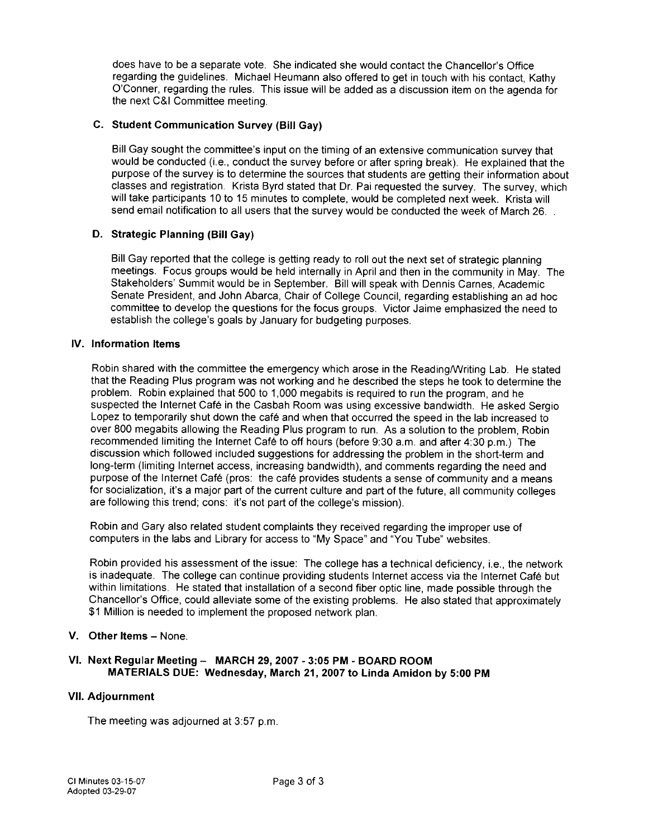does have to be a separate vote. She indicated she would contact the Chancellor's Office regarding the quidelines. Michael Heumann also offered to get in touch with his contact, Kathy O'Conner, regarding the rules. This issue will be added as a discussion item on the agenda for the next C&I Committee meeting.

## C. Student Communication Survey (Bill Gav)

Bill Gay sought the committee's input on the timing of an extensive communication survey that would be conducted (i.e., conduct the survey before or after spring break). He explained that the purpose of the survey is to determine the sources that students are getting their information about classes and registration. Krista Byrd stated that Dr. Pai requested the survey. The survey, which will take participants 10 to 15 minutes to complete, would be completed next week. Krista will send email notification to all users that the survey would be conducted the week of March 26.

## D. Strategic Planning (Bill Gav)

Bill Gay reported that the college is getting ready to roll out the next set of strategic planning meetings. Focus groups would be held internally in April and then in the community in May. The Stakeholders' Summit would be in September. Bill will speak with Dennis Carnes, Academic Senate President, and John Abarca, Chair of College Council, regarding establishing an ad hoc committee to develop the questions for the focus groups. Victor Jaime emphasized the need to establish the college's goals by January for budgeting purposes.

## **IV.** Information Items

Robin shared with the committee the emergency which arose in the Reading/Writing Lab. He stated that the Reading Plus program was not working and he described the steps he took to determine the problem. Robin explained that 500 to 1,000 megabits is required to run the program, and he suspected the Internet Café in the Casbah Room was using excessive bandwidth. He asked Sergio Lopez to temporarily shut down the café and when that occurred the speed in the lab increased to over 800 megabits allowing the Reading Plus program to run. As a solution to the problem, Robin recommended limiting the Internet Café to off hours (before 9:30 a.m. and after 4:30 p.m.) The discussion which followed included suggestions for addressing the problem in the short-term and long-term (limiting Internet access, increasing bandwidth), and comments regarding the need and purpose of the Internet Café (pros: the café provides students a sense of community and a means for socialization, it's a major part of the current culture and part of the future, all community colleges are following this trend; cons: it's not part of the college's mission).

Robin and Gary also related student complaints they received regarding the improper use of computers in the labs and Library for access to "My Space" and "You Tube" websites.

Robin provided his assessment of the issue: The college has a technical deficiency, i.e., the network is inadequate. The college can continue providing students Internet access via the Internet Café but within limitations. He stated that installation of a second fiber optic line, made possible through the Chancellor's Office, could alleviate some of the existing problems. He also stated that approximately \$1 Million is needed to implement the proposed network plan.

## V. Other Items - None.

## VI. Next Regular Meeting - MARCH 29, 2007 - 3:05 PM - BOARD ROOM MATERIALS DUE: Wednesday, March 21, 2007 to Linda Amidon by 5:00 PM

## **VII. Adjournment**

The meeting was adjourned at 3:57 p.m.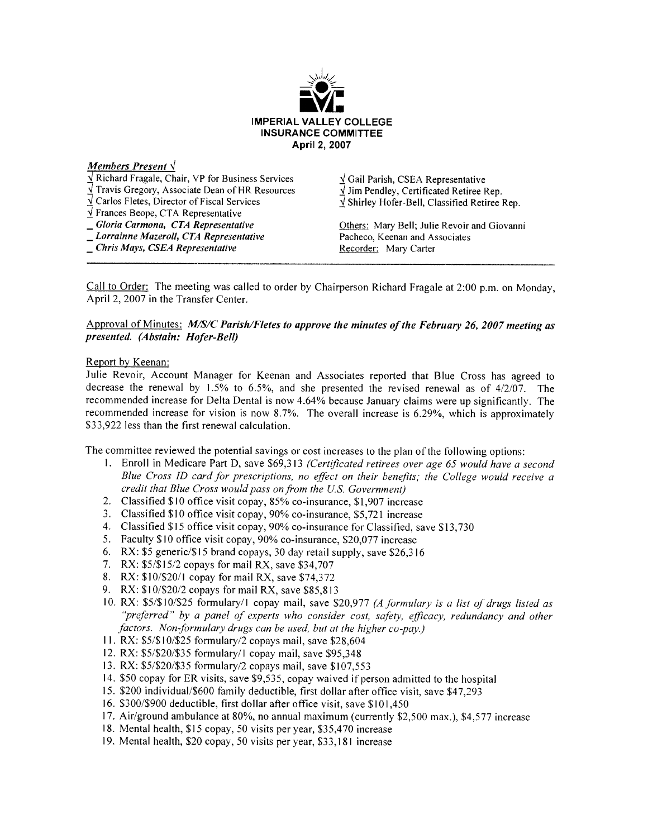

### Members Present  $\sqrt{}$

 $\sqrt{\text{Richard }\text{Fragale}}$ , Chair, VP for Business Services √ Gail Parish, CSEA Representative  $\sqrt{ }$  Travis Gregory, Associate Dean of HR Resources  $\sqrt{ }$  Jim Pendlev, Certificated Retiree Rep.  $\sqrt{2}$  Carlos Fletes, Director of Fiscal Services  $\sqrt{ }$  Shirley Hofer-Bell, Classified Retiree Rep. V Frances Beope, CTA Representative - Gloria Carmona, CTA Representative Others: Mary Bell; Julie Revoir and Giovanni \_ Lorrainne Mazeroll, CTA Representative Pacheco, Keenan and Associates \_ Chris Mays, CSEA Representative Recorder: Mary Carter

Call to Order: The meeting was called to order by Chairperson Richard Fragale at 2:00 p.m. on Monday, April 2, 2007 in the Transfer Center.

### Approval of Minutes: *M/S/C Parish/Fletes to approve the minutes of the February 26, 2007 meeting as* presented. (Abstain: Hofer-Bell)

### Report by Keenan:

Julie Revoir, Account Manager for Keenan and Associates reported that Blue Cross has agreed to decrease the renewal by 1.5% to 6.5%, and she presented the revised renewal as of  $4/2/07$ . The recommended increase for Delta Dental is now 4.64% because January claims were up significantly. The recommended increase for vision is now 8.7%. The overall increase is 6.29%, which is approximately \$33,922 less than the first renewal calculation.

The committee reviewed the potential savings or cost increases to the plan of the following options:

- 1. Enroll in Medicare Part D, save \$69,313 (Certificated retirees over age 65 would have a second Blue Cross ID card for prescriptions, no effect on their benefits; the College would receive a credit that Blue Cross would pass on from the U.S. Government)
- 2. Classified \$10 office visit copay, 85% co-insurance, \$1,907 increase
- 3. Classified \$10 office visit copay, 90% co-insurance, \$5,721 increase
- 4. Classified \$15 office visit copay, 90% co-insurance for Classified, save \$13,730
- 5. Faculty \$10 office visit copay, 90% co-insurance, \$20,077 increase
- 6. RX: \$5 generic/\$15 brand copays, 30 day retail supply, save \$26,316
- 7. RX: \$5/\$15/2 copays for mail RX, save \$34,707
- 8. RX: \$10/\$20/1 copay for mail RX, save \$74,372
- 9. RX: \$10/\$20/2 copays for mail RX, save \$85,813
- 10. RX: \$5/\$10/\$25 formulary/1 copay mail, save \$20,977 (A formulary is a list of drugs listed as "preferred" by a panel of experts who consider cost, safety, efficacy, redundancy and other factors. Non-formulary drugs can be used, but at the higher co-pay.)
- 11. RX: \$5/\$10/\$25 formulary/2 copays mail, save \$28,604
- 12. RX: \$5/\$20/\$35 formulary/1 copay mail, save \$95,348
- 13. RX: \$5/\$20/\$35 formulary/2 copays mail, save \$107,553
- 14. \$50 copay for ER visits, save \$9,535, copay waived if person admitted to the hospital
- 15. \$200 individual/\$600 family deductible, first dollar after office visit, save \$47,293
- 16. \$300/\$900 deductible, first dollar after office visit, save \$101,450
- 17. Air/ground ambulance at 80%, no annual maximum (currently \$2,500 max.), \$4,577 increase
- 18. Mental health, \$15 copay, 50 visits per year, \$35,470 increase
- 19. Mental health, \$20 copay, 50 visits per year, \$33,181 increase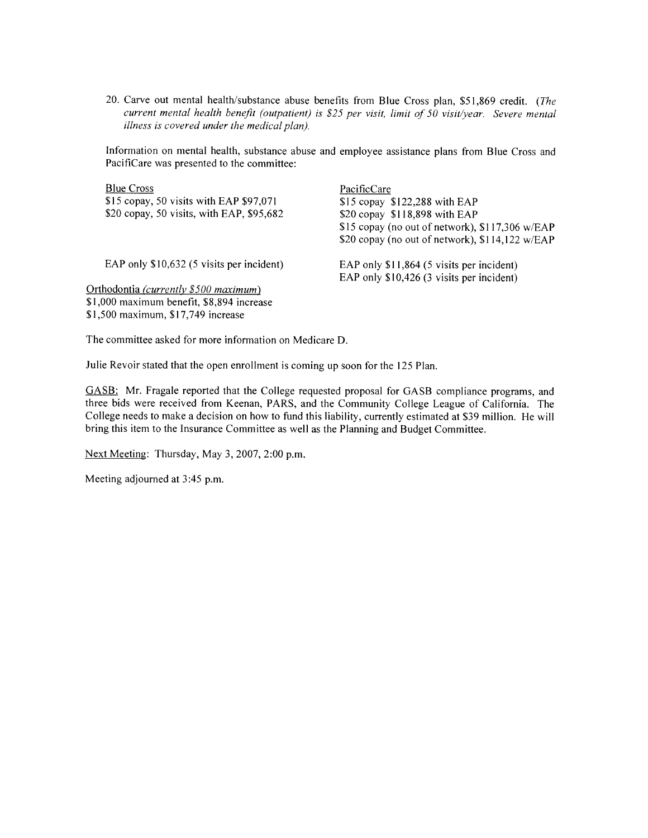20. Carve out mental health/substance abuse benefits from Blue Cross plan, \$51,869 credit. (The current mental health benefit (outpatient) is \$25 per visit, limit of 50 visit/year. Severe mental illness is covered under the medical plan).

Information on mental health, substance abuse and employee assistance plans from Blue Cross and PacifiCare was presented to the committee:

| <b>Blue Cross</b>                         | PacificCare                                     |
|-------------------------------------------|-------------------------------------------------|
| \$15 copay, 50 visits with EAP \$97,071   | $$15$ copay $$122,288$ with EAP                 |
| \$20 copay, 50 visits, with EAP, \$95,682 | \$20 copay \$118,898 with EAP                   |
|                                           | \$15 copay (no out of network), \$117,306 w/EAP |
|                                           | \$20 copay (no out of network), \$114,122 w/EAP |
| EAP only \$10,632 (5 visits per incident) | EAP only \$11,864 (5 visits per incident)       |
|                                           | EAP only \$10,426 (3 visits per incident)       |
| Orthodontia (currently \$500 maximum)     |                                                 |
| \$1,000 maximum benefit, \$8,894 increase |                                                 |
| \$1,500 maximum, \$17,749 increase        |                                                 |

The committee asked for more information on Medicare D.

Julie Revoir stated that the open enrollment is coming up soon for the 125 Plan.

GASB: Mr. Fragale reported that the College requested proposal for GASB compliance programs, and three bids were received from Keenan, PARS, and the Community College League of California. The College needs to make a decision on how to fund this liability, currently estimated at \$39 million. He will bring this item to the Insurance Committee as well as the Planning and Budget Committee.

Next Meeting: Thursday, May 3, 2007, 2:00 p.m.

Meeting adjourned at 3:45 p.m.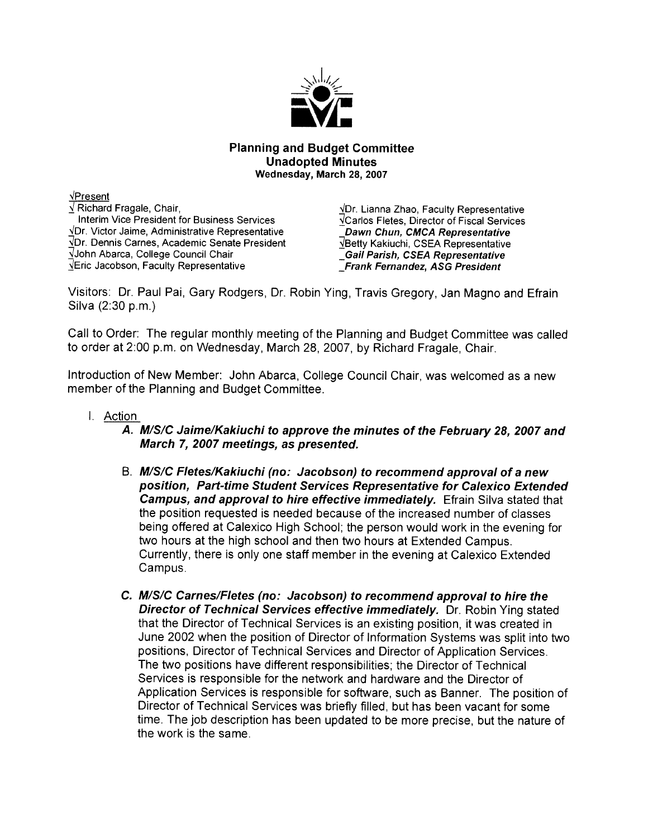

## **Planning and Budget Committee Unadopted Minutes** Wednesday, March 28, 2007

VPresent √ Richard Fragale, Chair, Interim Vice President for Business Services √Dr. Victor Jaime, Administrative Representative VDr. Dennis Carnes, Academic Senate President VJohn Abarca, College Council Chair VEric Jacobson, Faculty Representative

 $\sqrt{D}$ r. Lianna Zhao, Faculty Representative **VCarlos Fletes, Director of Fiscal Services** Dawn Chun, CMCA Representative VBetty Kakiuchi, CSEA Representative **Gail Parish, CSEA Representative Frank Fernandez, ASG President** 

Visitors: Dr. Paul Pai, Gary Rodgers, Dr. Robin Ying, Travis Gregory, Jan Magno and Efrain Silva (2:30 p.m.)

Call to Order: The regular monthly meeting of the Planning and Budget Committee was called to order at 2:00 p.m. on Wednesday, March 28, 2007, by Richard Fragale, Chair.

Introduction of New Member: John Abarca, College Council Chair, was welcomed as a new member of the Planning and Budget Committee.

I. Action

A. M/S/C Jaime/Kakiuchi to approve the minutes of the February 28, 2007 and March 7, 2007 meetings, as presented.

- B. M/S/C Fletes/Kakiuchi (no: Jacobson) to recommend approval of a new position, Part-time Student Services Representative for Calexico Extended Campus, and approval to hire effective immediately. Efrain Silva stated that the position requested is needed because of the increased number of classes being offered at Calexico High School; the person would work in the evening for two hours at the high school and then two hours at Extended Campus. Currently, there is only one staff member in the evening at Calexico Extended Campus.
- C. M/S/C Carnes/Fletes (no: Jacobson) to recommend approval to hire the Director of Technical Services effective immediately. Dr. Robin Ying stated that the Director of Technical Services is an existing position, it was created in June 2002 when the position of Director of Information Systems was split into two positions, Director of Technical Services and Director of Application Services. The two positions have different responsibilities; the Director of Technical Services is responsible for the network and hardware and the Director of Application Services is responsible for software, such as Banner. The position of Director of Technical Services was briefly filled, but has been vacant for some time. The job description has been updated to be more precise, but the nature of the work is the same.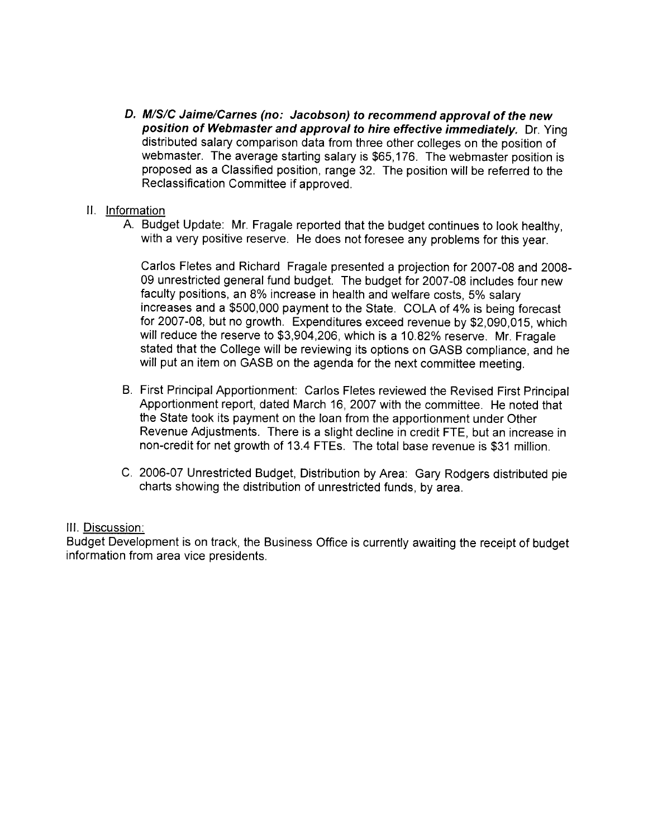- D. M/S/C Jaime/Carnes (no: Jacobson) to recommend approval of the new position of Webmaster and approval to hire effective immediately. Dr. Ying distributed salary comparison data from three other colleges on the position of webmaster. The average starting salary is \$65,176. The webmaster position is proposed as a Classified position, range 32. The position will be referred to the Reclassification Committee if approved.
- II. Information
	- A. Budget Update: Mr. Fragale reported that the budget continues to look healthy, with a very positive reserve. He does not foresee any problems for this year.

Carlos Fletes and Richard Fragale presented a projection for 2007-08 and 2008-09 unrestricted general fund budget. The budget for 2007-08 includes four new faculty positions, an 8% increase in health and welfare costs, 5% salary increases and a \$500,000 payment to the State. COLA of 4% is being forecast for 2007-08, but no growth. Expenditures exceed revenue by \$2,090,015, which will reduce the reserve to \$3,904,206, which is a 10.82% reserve. Mr. Fragale stated that the College will be reviewing its options on GASB compliance, and he will put an item on GASB on the agenda for the next committee meeting.

- B. First Principal Apportionment: Carlos Fletes reviewed the Revised First Principal Apportionment report, dated March 16, 2007 with the committee. He noted that the State took its payment on the loan from the apportionment under Other Revenue Adjustments. There is a slight decline in credit FTE, but an increase in non-credit for net growth of 13.4 FTEs. The total base revenue is \$31 million.
- C. 2006-07 Unrestricted Budget, Distribution by Area: Gary Rodgers distributed pie charts showing the distribution of unrestricted funds, by area.

# III. Discussion:

Budget Development is on track, the Business Office is currently awaiting the receipt of budget information from area vice presidents.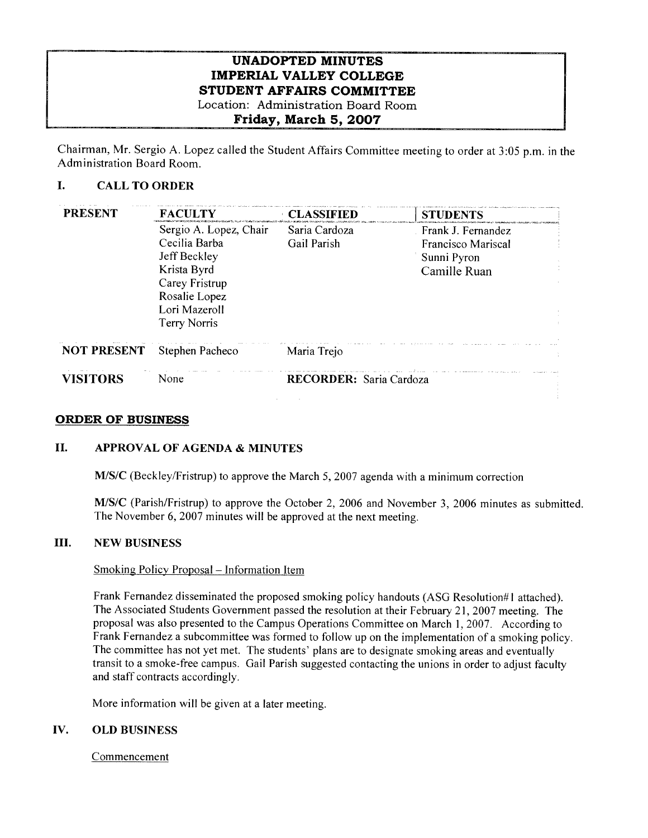# **UNADOPTED MINUTES IMPERIAL VALLEY COLLEGE** STUDENT AFFAIRS COMMITTEE Location: Administration Board Room

# Friday, March 5, 2007

Chairman, Mr. Sergio A. Lopez called the Student Affairs Committee meeting to order at 3:05 p.m. in the Administration Board Room.

#### L. **CALL TO ORDER**

| <b>PRESENT</b>     | <b>FACULTY</b>                  | <b>CLASSIFIED</b>       | <b>STUDENTS</b>                   |
|--------------------|---------------------------------|-------------------------|-----------------------------------|
|                    | Sergio A. Lopez, Chair          | Saria Cardoza           | Frank J. Fernandez                |
|                    | Cecilia Barba<br>Jeff Beckley   | Gail Parish             | Francisco Mariscal<br>Sunni Pyron |
|                    | Krista Byrd                     |                         | Camille Ruan                      |
|                    | Carey Fristrup<br>Rosalie Lopez |                         |                                   |
|                    | Lori Mazeroll                   |                         |                                   |
|                    | Terry Norris                    |                         |                                   |
| <b>NOT PRESENT</b> | Stephen Pacheco                 | Maria Trejo             |                                   |
| <b>VISITORS</b>    | None                            | RECORDER: Saria Cardoza |                                   |
|                    |                                 |                         |                                   |

## **ORDER OF BUSINESS**

#### **II. APPROVAL OF AGENDA & MINUTES**

M/S/C (Beckley/Fristrup) to approve the March 5, 2007 agenda with a minimum correction

M/S/C (Parish/Fristrup) to approve the October 2, 2006 and November 3, 2006 minutes as submitted. The November 6, 2007 minutes will be approved at the next meeting.

#### III. **NEW BUSINESS**

## Smoking Policy Proposal – Information Item

Frank Fernandez disseminated the proposed smoking policy handouts (ASG Resolution#1 attached). The Associated Students Government passed the resolution at their February 21, 2007 meeting. The proposal was also presented to the Campus Operations Committee on March 1, 2007. According to Frank Fernandez a subcommittee was formed to follow up on the implementation of a smoking policy. The committee has not yet met. The students' plans are to designate smoking areas and eventually transit to a smoke-free campus. Gail Parish suggested contacting the unions in order to adjust faculty and staff contracts accordingly.

More information will be given at a later meeting.

#### IV. **OLD BUSINESS**

Commencement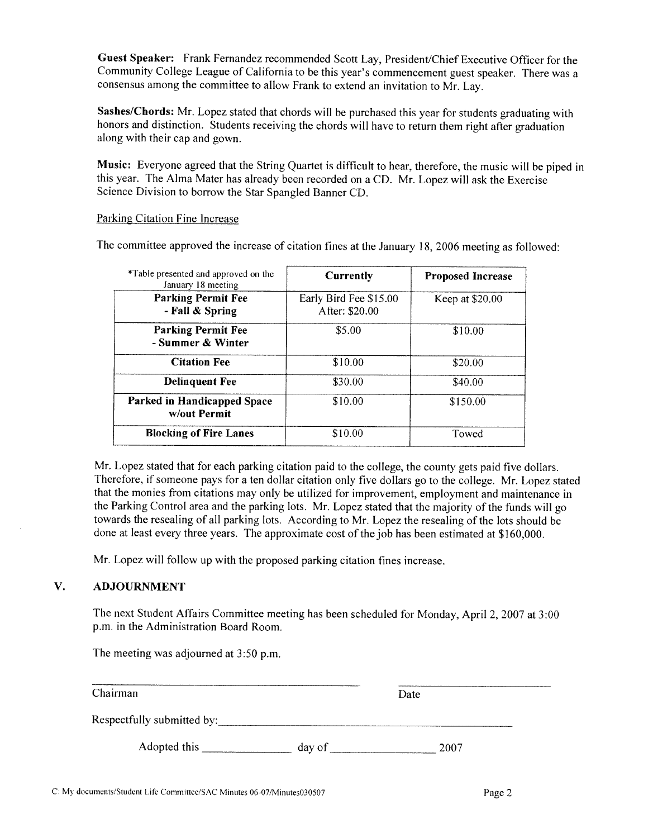Guest Speaker: Frank Fernandez recommended Scott Lay, President/Chief Executive Officer for the Community College League of California to be this year's commencement guest speaker. There was a consensus among the committee to allow Frank to extend an invitation to Mr. Lay.

Sashes/Chords: Mr. Lopez stated that chords will be purchased this year for students graduating with honors and distinction. Students receiving the chords will have to return them right after graduation along with their cap and gown.

Music: Everyone agreed that the String Quartet is difficult to hear, therefore, the music will be piped in this vear. The Alma Mater has already been recorded on a CD. Mr. Lopez will ask the Exercise Science Division to borrow the Star Spangled Banner CD.

## Parking Citation Fine Increase

The committee approved the increase of citation fines at the January 18, 2006 meeting as followed:

| *Table presented and approved on the<br>January 18 meeting | <b>Currently</b>                         | <b>Proposed Increase</b> |
|------------------------------------------------------------|------------------------------------------|--------------------------|
| <b>Parking Permit Fee</b><br>- Fall & Spring               | Early Bird Fee \$15.00<br>After: \$20.00 | Keep at \$20.00          |
| <b>Parking Permit Fee</b><br>- Summer & Winter             | \$5.00                                   | \$10.00                  |
| <b>Citation Fee</b>                                        | \$10.00                                  | \$20.00                  |
| <b>Delinquent Fee</b>                                      | \$30.00                                  | \$40.00                  |
| Parked in Handicapped Space<br>w/out Permit                | \$10.00                                  | \$150.00                 |
| <b>Blocking of Fire Lanes</b>                              | \$10.00                                  | Towed                    |

Mr. Lopez stated that for each parking citation paid to the college, the county gets paid five dollars. Therefore, if someone pays for a ten dollar citation only five dollars go to the college. Mr. Lopez stated that the monies from citations may only be utilized for improvement, employment and maintenance in the Parking Control area and the parking lots. Mr. Lopez stated that the majority of the funds will go towards the resealing of all parking lots. According to Mr. Lopez the resealing of the lots should be done at least every three years. The approximate cost of the job has been estimated at \$160,000.

Mr. Lopez will follow up with the proposed parking citation fines increase.

#### V. **ADJOURNMENT**

The next Student Affairs Committee meeting has been scheduled for Monday, April 2, 2007 at 3:00 p.m. in the Administration Board Room.

The meeting was adjourned at 3:50 p.m.

| Chairman                   |        | Date |      |  |
|----------------------------|--------|------|------|--|
| Respectfully submitted by: |        |      |      |  |
| Adopted this               | day of |      | 2007 |  |